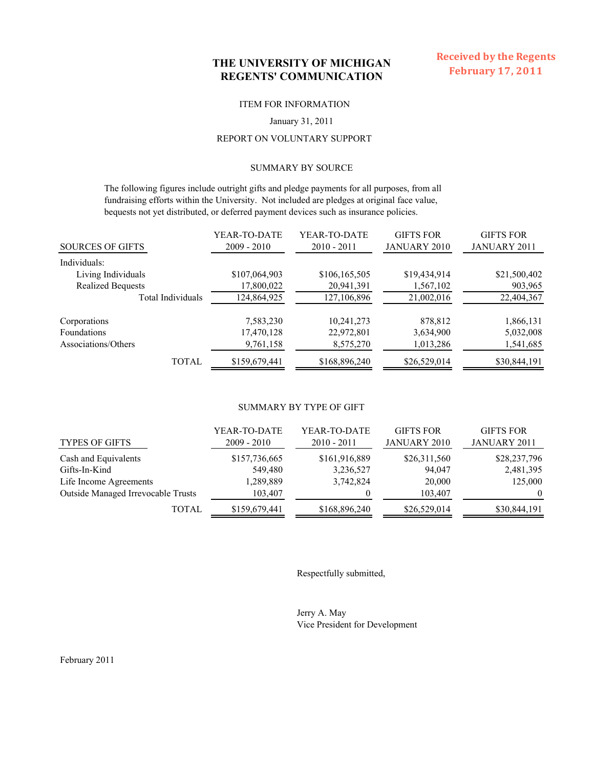## **THE UNIVERSITY OF MICHIGAN REGENTS' COMMUNICATION**

#### ITEM FOR INFORMATION

#### January 31, 2011

### REPORT ON VOLUNTARY SUPPORT

### SUMMARY BY SOURCE

 The following figures include outright gifts and pledge payments for all purposes, from all fundraising efforts within the University. Not included are pledges at original face value, bequests not yet distributed, or deferred payment devices such as insurance policies.

| <b>SOURCES OF GIFTS</b>  | YEAR-TO-DATE<br>$2009 - 2010$ | YEAR-TO-DATE<br>$2010 - 2011$ | <b>GIFTS FOR</b><br><b>JANUARY 2010</b> | <b>GIFTS FOR</b><br><b>JANUARY 2011</b> |
|--------------------------|-------------------------------|-------------------------------|-----------------------------------------|-----------------------------------------|
| Individuals:             |                               |                               |                                         |                                         |
| Living Individuals       | \$107,064,903                 | \$106,165,505                 | \$19,434,914                            | \$21,500,402                            |
| <b>Realized Bequests</b> | 17,800,022                    | 20,941,391                    | 1,567,102                               | 903,965                                 |
| Total Individuals        | 124,864,925                   | 127, 106, 896                 | 21,002,016                              | 22,404,367                              |
| Corporations             | 7,583,230                     | 10,241,273                    | 878,812                                 | 1,866,131                               |
| Foundations              | 17,470,128                    | 22,972,801                    | 3,634,900                               | 5,032,008                               |
| Associations/Others      | 9,761,158                     | 8,575,270                     | 1,013,286                               | 1,541,685                               |
| TOTAL                    | \$159,679,441                 | \$168,896,240                 | \$26,529,014                            | \$30,844,191                            |

#### SUMMARY BY TYPE OF GIFT

| <b>TYPES OF GIFTS</b>                     | YEAR-TO-DATE<br>$2009 - 2010$ | YEAR-TO-DATE<br>$2010 - 2011$ | <b>GIFTS FOR</b><br><b>JANUARY 2010</b> | <b>GIFTS FOR</b><br>JANUARY 2011 |
|-------------------------------------------|-------------------------------|-------------------------------|-----------------------------------------|----------------------------------|
| Cash and Equivalents                      | \$157,736,665                 | \$161,916,889                 | \$26,311,560                            | \$28,237,796                     |
| Gifts-In-Kind                             | 549,480                       | 3,236,527                     | 94,047                                  | 2,481,395                        |
| Life Income Agreements                    | 1,289,889                     | 3,742,824                     | 20,000                                  | 125,000                          |
| <b>Outside Managed Irrevocable Trusts</b> | 103,407                       |                               | 103,407                                 | $\theta$                         |
| TOTAL                                     | \$159,679,441                 | \$168,896,240                 | \$26,529,014                            | \$30,844,191                     |

Respectfully submitted,

Jerry A. May Vice President for Development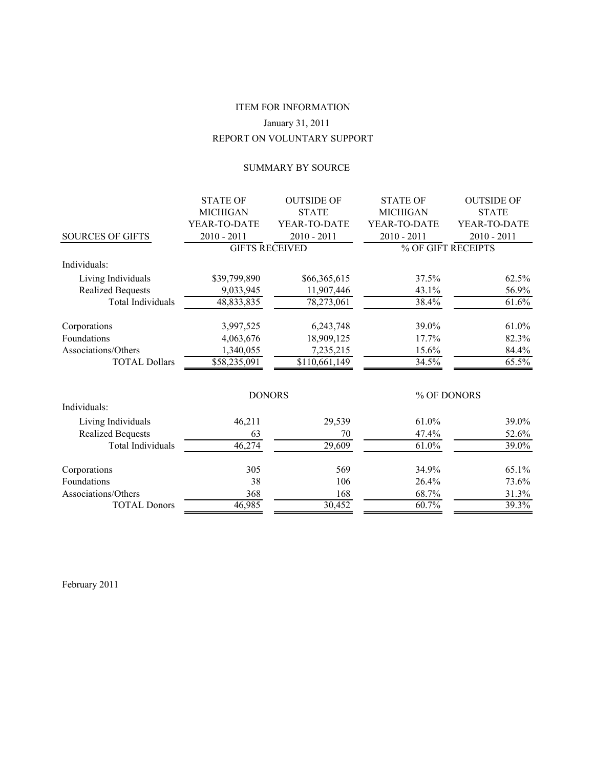# REPORT ON VOLUNTARY SUPPORT ITEM FOR INFORMATION January 31, 2011

### SUMMARY BY SOURCE

|                          | <b>STATE OF</b>       | <b>OUTSIDE OF</b> | <b>STATE OF</b> | <b>OUTSIDE OF</b>  |
|--------------------------|-----------------------|-------------------|-----------------|--------------------|
|                          | <b>MICHIGAN</b>       | <b>STATE</b>      | <b>MICHIGAN</b> | <b>STATE</b>       |
|                          | YEAR-TO-DATE          | YEAR-TO-DATE      | YEAR-TO-DATE    | YEAR-TO-DATE       |
| <b>SOURCES OF GIFTS</b>  | $2010 - 2011$         | $2010 - 2011$     | $2010 - 2011$   | $2010 - 2011$      |
|                          | <b>GIFTS RECEIVED</b> |                   |                 | % OF GIFT RECEIPTS |
| Individuals:             |                       |                   |                 |                    |
| Living Individuals       | \$39,799,890          | \$66,365,615      | 37.5%           | 62.5%              |
| <b>Realized Bequests</b> | 9,033,945             | 11,907,446        | 43.1%           | 56.9%              |
| <b>Total Individuals</b> | 48,833,835            | 78,273,061        | 38.4%           | $61.6\%$           |
| Corporations             | 3,997,525             | 6,243,748         | 39.0%           | 61.0%              |
| Foundations              | 4,063,676             | 18,909,125        | 17.7%           | 82.3%              |
| Associations/Others      | 1,340,055             | 7,235,215         | 15.6%           | 84.4%              |
| <b>TOTAL Dollars</b>     | \$58,235,091          | \$110,661,149     | 34.5%           | 65.5%              |
|                          | <b>DONORS</b>         |                   |                 | % OF DONORS        |
| Individuals:             |                       |                   |                 |                    |
| Living Individuals       | 46,211                | 29,539            | 61.0%           | 39.0%              |
| <b>Realized Bequests</b> | 63                    | 70                | 47.4%           | 52.6%              |
| <b>Total Individuals</b> | 46,274                | 29,609            | 61.0%           | 39.0%              |
| Corporations             | 305                   | 569               | 34.9%           | 65.1%              |
| Foundations              | 38                    | 106               | 26.4%           | 73.6%              |
| Associations/Others      | 368                   | 168               | 68.7%           | 31.3%              |
| <b>TOTAL Donors</b>      | 46,985                | 30,452            | 60.7%           | 39.3%              |
|                          |                       |                   |                 |                    |

February 2011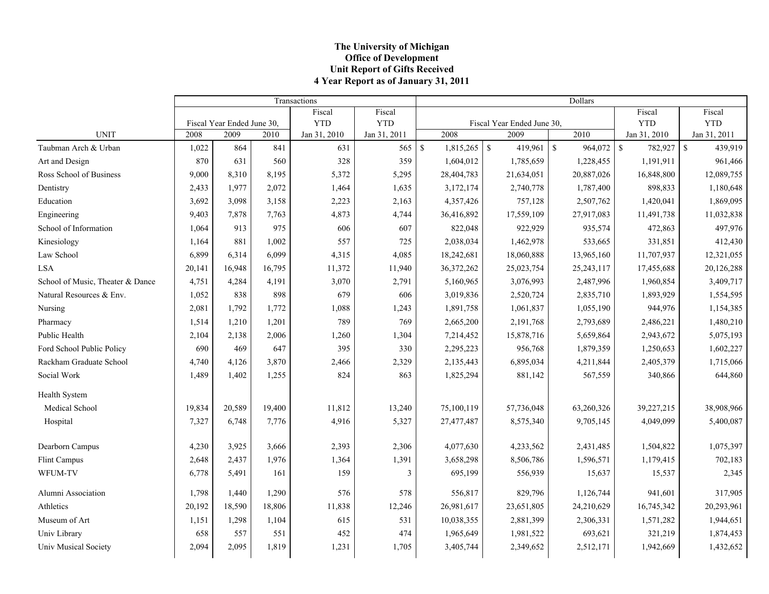### **The University of Michigan Office of Development Unit Report of Gifts Received 4 Year Report as of January 31, 2011**

|                                  | Transactions |                            |        |              |              |              | Dollars        |                            |  |                  |                       |                        |  |
|----------------------------------|--------------|----------------------------|--------|--------------|--------------|--------------|----------------|----------------------------|--|------------------|-----------------------|------------------------|--|
|                                  |              |                            |        | Fiscal       | Fiscal       |              |                |                            |  |                  | Fiscal                | Fiscal                 |  |
|                                  |              | Fiscal Year Ended June 30, |        | <b>YTD</b>   | <b>YTD</b>   |              |                | Fiscal Year Ended June 30, |  |                  | <b>YTD</b>            | <b>YTD</b>             |  |
| <b>UNIT</b>                      | 2008         | 2009                       | 2010   | Jan 31, 2010 | Jan 31, 2011 |              | 2008           | 2009                       |  | $\frac{2010}{ }$ | Jan 31, 2010          | Jan 31, 2011           |  |
| Taubman Arch & Urban             | 1,022        | 864                        | 841    | 631          | 565          | $\mathbb{S}$ | $1,815,265$ \$ | 419,961   \$               |  | 964,072          | $\sqrt{S}$<br>782,927 | $\mathbb S$<br>439,919 |  |
| Art and Design                   | 870          | 631                        | 560    | 328          | 359          |              | 1,604,012      | 1,785,659                  |  | 1,228,455        | 1,191,911             | 961,466                |  |
| Ross School of Business          | 9,000        | 8,310                      | 8,195  | 5,372        | 5,295        |              | 28,404,783     | 21,634,051                 |  | 20,887,026       | 16,848,800            | 12,089,755             |  |
| Dentistry                        | 2,433        | 1,977                      | 2,072  | 1,464        | 1,635        |              | 3,172,174      | 2,740,778                  |  | 1,787,400        | 898,833               | 1,180,648              |  |
| Education                        | 3,692        | 3,098                      | 3,158  | 2,223        | 2,163        |              | 4,357,426      | 757,128                    |  | 2,507,762        | 1,420,041             | 1,869,095              |  |
| Engineering                      | 9,403        | 7,878                      | 7,763  | 4,873        | 4,744        |              | 36,416,892     | 17,559,109                 |  | 27,917,083       | 11,491,738            | 11,032,838             |  |
| School of Information            | 1,064        | 913                        | 975    | 606          | 607          |              | 822,048        | 922,929                    |  | 935,574          | 472,863               | 497,976                |  |
| Kinesiology                      | 1,164        | 881                        | 1,002  | 557          | 725          |              | 2,038,034      | 1,462,978                  |  | 533,665          | 331,851               | 412,430                |  |
| Law School                       | 6,899        | 6,314                      | 6,099  | 4,315        | 4,085        |              | 18,242,681     | 18,060,888                 |  | 13,965,160       | 11,707,937            | 12,321,055             |  |
| <b>LSA</b>                       | 20,141       | 16,948                     | 16,795 | 11,372       | 11,940       |              | 36,372,262     | 25,023,754                 |  | 25, 243, 117     | 17,455,688            | 20,126,288             |  |
| School of Music, Theater & Dance | 4,751        | 4,284                      | 4,191  | 3,070        | 2,791        |              | 5,160,965      | 3,076,993                  |  | 2,487,996        | 1,960,854             | 3,409,717              |  |
| Natural Resources & Env.         | 1,052        | 838                        | 898    | 679          | 606          |              | 3,019,836      | 2,520,724                  |  | 2,835,710        | 1,893,929             | 1,554,595              |  |
| Nursing                          | 2,081        | 1,792                      | 1,772  | 1,088        | 1,243        |              | 1,891,758      | 1,061,837                  |  | 1,055,190        | 944,976               | 1,154,385              |  |
| Pharmacy                         | 1,514        | 1,210                      | 1,201  | 789          | 769          |              | 2,665,200      | 2,191,768                  |  | 2,793,689        | 2,486,221             | 1,480,210              |  |
| Public Health                    | 2,104        | 2,138                      | 2,006  | 1,260        | 1,304        |              | 7,214,452      | 15,878,716                 |  | 5,659,864        | 2,943,672             | 5,075,193              |  |
| Ford School Public Policy        | 690          | 469                        | 647    | 395          | 330          |              | 2,295,223      | 956,768                    |  | 1,879,359        | 1,250,653             | 1,602,227              |  |
| Rackham Graduate School          | 4,740        | 4,126                      | 3,870  | 2,466        | 2,329        |              | 2,135,443      | 6,895,034                  |  | 4,211,844        | 2,405,379             | 1,715,066              |  |
| Social Work                      | 1,489        | 1,402                      | 1,255  | 824          | 863          |              | 1,825,294      | 881,142                    |  | 567,559          | 340,866               | 644,860                |  |
| Health System                    |              |                            |        |              |              |              |                |                            |  |                  |                       |                        |  |
| Medical School                   | 19,834       | 20,589                     | 19,400 | 11,812       | 13,240       |              | 75,100,119     | 57,736,048                 |  | 63,260,326       | 39,227,215            | 38,908,966             |  |
| Hospital                         | 7,327        | 6.748                      | 7,776  | 4,916        | 5,327        |              | 27,477,487     | 8,575,340                  |  | 9,705,145        | 4,049,099             | 5,400,087              |  |
| Dearborn Campus                  | 4,230        | 3,925                      | 3,666  | 2,393        | 2,306        |              | 4,077,630      | 4,233,562                  |  | 2,431,485        | 1,504,822             | 1,075,397              |  |
| Flint Campus                     | 2,648        | 2,437                      | 1,976  | 1,364        | 1,391        |              | 3,658,298      | 8,506,786                  |  | 1,596,571        | 1,179,415             | 702,183                |  |
| WFUM-TV                          | 6,778        | 5,491                      | 161    | 159          | 3            |              | 695,199        | 556,939                    |  | 15,637           | 15,537                | 2,345                  |  |
| Alumni Association               | 1,798        | 1,440                      | 1,290  | 576          | 578          |              | 556,817        | 829,796                    |  | 1,126,744        | 941,601               | 317,905                |  |
| Athletics                        | 20,192       | 18,590                     | 18,806 | 11,838       | 12,246       |              | 26,981,617     | 23,651,805                 |  | 24,210,629       | 16,745,342            | 20,293,961             |  |
| Museum of Art                    | 1,151        | 1,298                      | 1,104  | 615          | 531          |              | 10,038,355     | 2,881,399                  |  | 2,306,331        | 1,571,282             | 1,944,651              |  |
| Univ Library                     | 658          | 557                        | 551    | 452          | 474          |              | 1,965,649      | 1,981,522                  |  | 693,621          | 321,219               | 1,874,453              |  |
| <b>Univ Musical Society</b>      | 2,094        | 2,095                      | 1,819  | 1,231        | 1,705        |              | 3,405,744      | 2,349,652                  |  | 2,512,171        | 1,942,669             | 1,432,652              |  |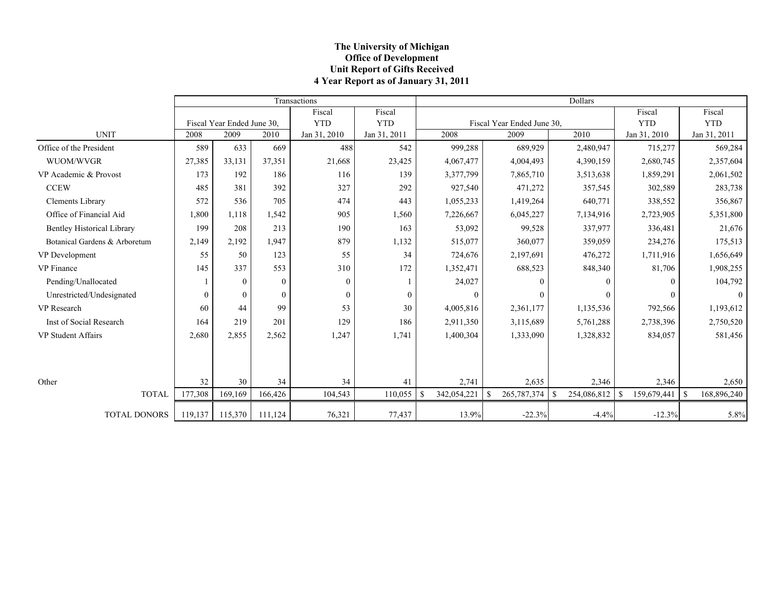### **The University of Michigan Office of Development Unit Report of Gifts Received 4 Year Report as of January 31, 2011**

|                                   |          |                            |                | Transactions |              |              |             |    |                            | <b>Dollars</b> |                   |                   |
|-----------------------------------|----------|----------------------------|----------------|--------------|--------------|--------------|-------------|----|----------------------------|----------------|-------------------|-------------------|
|                                   |          |                            |                | Fiscal       | Fiscal       |              |             |    |                            |                | Fiscal            | Fiscal            |
|                                   |          | Fiscal Year Ended June 30. |                | <b>YTD</b>   | <b>YTD</b>   |              |             |    | Fiscal Year Ended June 30, |                | <b>YTD</b>        | <b>YTD</b>        |
| <b>UNIT</b>                       | 2008     | 2009                       | 2010           | Jan 31, 2010 | Jan 31, 2011 |              | 2008        |    | 2009                       | 2010           | Jan 31, 2010      | Jan 31, 2011      |
| Office of the President           | 589      | 633                        | 669            | 488          | 542          |              | 999,288     |    | 689,929                    | 2,480,947      | 715,277           | 569,284           |
| WUOM/WVGR                         | 27,385   | 33,131                     | 37,351         | 21,668       | 23,425       |              | 4,067,477   |    | 4,004,493                  | 4,390,159      | 2,680,745         | 2,357,604         |
| VP Academic & Provost             | 173      | 192                        | 186            | 116          | 139          |              | 3,377,799   |    | 7,865,710                  | 3,513,638      | 1,859,291         | 2,061,502         |
| <b>CCEW</b>                       | 485      | 381                        | 392            | 327          | 292          |              | 927,540     |    | 471,272                    | 357,545        | 302,589           | 283,738           |
| <b>Clements Library</b>           | 572      | 536                        | 705            | 474          | 443          |              | 1,055,233   |    | 1,419,264                  | 640,771        | 338,552           | 356,867           |
| Office of Financial Aid           | 1,800    | 1.118                      | 1,542          | 905          | 1,560        |              | 7,226,667   |    | 6,045,227                  | 7,134,916      | 2,723,905         | 5,351,800         |
| <b>Bentley Historical Library</b> | 199      | 208                        | 213            | 190          | 163          |              | 53,092      |    | 99,528                     | 337,977        | 336,481           | 21,676            |
| Botanical Gardens & Arboretum     | 2,149    | 2,192                      | 1.947          | 879          | 1,132        |              | 515,077     |    | 360,077                    | 359,059        | 234,276           | 175,513           |
| VP Development                    | 55       | 50                         | 123            | 55           | 34           |              | 724,676     |    | 2,197,691                  | 476,272        | 1,711,916         | 1,656,649         |
| <b>VP</b> Finance                 | 145      | 337                        | 553            | 310          | 172          |              | 1,352,471   |    | 688,523                    | 848,340        | 81,706            | 1,908,255         |
| Pending/Unallocated               |          | $\mathbf{0}$               | $\theta$       | $\mathbf{0}$ |              |              | 24,027      |    | 0                          | $\theta$       | 0                 | 104,792           |
| Unrestricted/Undesignated         | $\theta$ | $\theta$                   | $\overline{0}$ | $\theta$     | $\mathbf{0}$ |              | $\theta$    |    | $\Omega$                   | $\theta$       | 0                 | $\theta$          |
| VP Research                       | 60       | 44                         | 99             | 53           | 30           |              | 4,005,816   |    | 2,361,177                  | 1,135,536      | 792,566           | 1,193,612         |
| Inst of Social Research           | 164      | 219                        | 201            | 129          | 186          |              | 2,911,350   |    | 3,115,689                  | 5,761,288      | 2,738,396         | 2,750,520         |
| <b>VP Student Affairs</b>         | 2,680    | 2,855                      | 2,562          | 1,247        | 1,741        |              | 1,400,304   |    | 1,333,090                  | 1,328,832      | 834,057           | 581,456           |
|                                   |          |                            |                |              |              |              |             |    |                            |                |                   |                   |
| Other                             | 32       | 30                         | 34             | 34           | 41           |              | 2,741       |    | 2,635                      | 2,346          | 2,346             | 2,650             |
| <b>TOTAL</b>                      | 177,308  | 169.169                    | 166,426        | 104,543      | 110,055      | <sup>S</sup> | 342,054,221 | -S | $265,787,374$   \$         | 254,086,812    | 159,679,441<br>-S | -S<br>168,896,240 |
| <b>TOTAL DONORS</b>               | 119,137  | 115,370                    | 111,124        | 76,321       | 77,437       |              | 13.9%       |    | $-22.3%$                   | $-4.4%$        | $-12.3%$          | 5.8%              |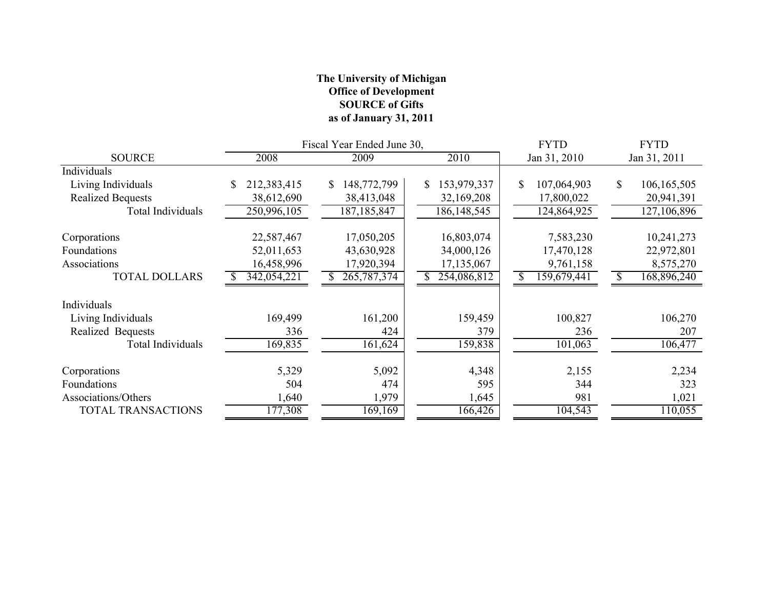# **The University of Michigan Office of Development SOURCE of Gifts as of January 31, 2011**

|                          |             | Fiscal Year Ended June 30, | <b>FYTD</b>          | <b>FYTD</b>       |                   |
|--------------------------|-------------|----------------------------|----------------------|-------------------|-------------------|
| <b>SOURCE</b>            | 2008        | 2009                       | 2010                 | Jan 31, 2010      | Jan 31, 2011      |
| Individuals              |             |                            |                      |                   |                   |
| Living Individuals       | 212,383,415 | 148,772,799<br>\$          | 153,979,337<br>\$    | 107,064,903<br>\$ | 106,165,505<br>\$ |
| <b>Realized Bequests</b> | 38,612,690  | 38,413,048                 | 32,169,208           | 17,800,022        | 20,941,391        |
| Total Individuals        | 250,996,105 | 187, 185, 847              | 186, 148, 545        | 124,864,925       | 127,106,896       |
| Corporations             | 22,587,467  | 17,050,205                 | 16,803,074           | 7,583,230         | 10,241,273        |
| Foundations              | 52,011,653  | 43,630,928                 | 34,000,126           | 17,470,128        | 22,972,801        |
| Associations             | 16,458,996  | 17,920,394                 | 17,135,067           | 9,761,158         | 8,575,270         |
| <b>TOTAL DOLLARS</b>     | 342,054,221 | 265, 787, 374              | 254,086,812          | 159,679,441       | 168,896,240       |
| Individuals              |             |                            |                      |                   |                   |
| Living Individuals       | 169,499     | 161,200                    | 159,459              | 100,827           | 106,270           |
| Realized Bequests        | 336         | 424                        | 379                  | 236               | 207               |
| <b>Total Individuals</b> | 169,835     | 161,624                    | 159,838              | 101,063           | 106,477           |
| Corporations             | 5,329       | 5,092                      | 4,348                | 2,155             | 2,234             |
| Foundations              | 504         | 474                        | 595                  | 344               | 323               |
| Associations/Others      | 1,640       | 1,979                      | 1,645                | 981               | 1,021             |
| TOTAL TRANSACTIONS       | 177,308     | 169,169                    | $166,\overline{426}$ | 104,543           | 110,055           |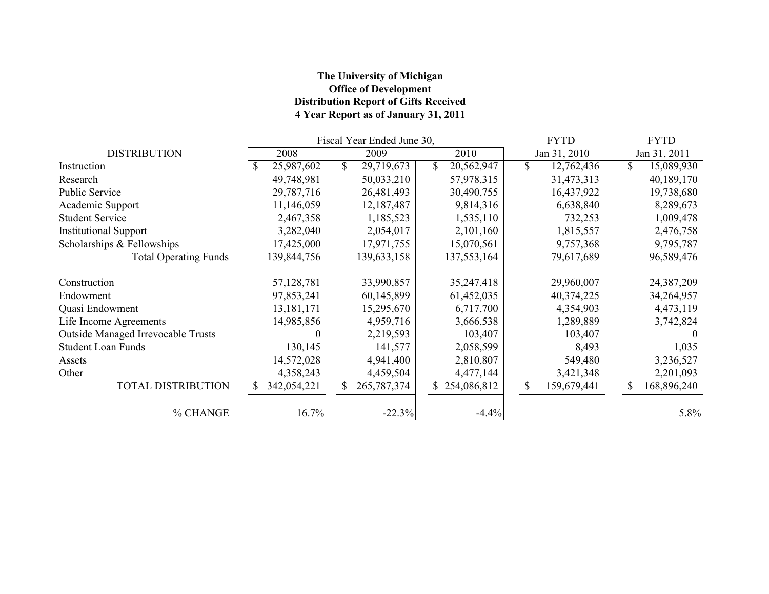# **The University of Michigan Office of Development Distribution Report of Gifts Received 4 Year Report as of January 31, 2011**

|                                    |              | Fiscal Year Ended June 30, |  | <b>FYTD</b> |              |              | <b>FYTD</b> |                         |
|------------------------------------|--------------|----------------------------|--|-------------|--------------|--------------|-------------|-------------------------|
| <b>DISTRIBUTION</b>                | 2008         | 2009                       |  | 2010        |              | Jan 31, 2010 |             | Jan 31, 2011            |
| Instruction                        | 25,987,602   | \$<br>29,719,673           |  | 20,562,947  | $\mathbb{S}$ | 12,762,436   | \$          | $\overline{15,}089,930$ |
| Research                           | 49,748,981   | 50,033,210                 |  | 57,978,315  |              | 31,473,313   |             | 40,189,170              |
| <b>Public Service</b>              | 29,787,716   | 26,481,493                 |  | 30,490,755  |              | 16,437,922   |             | 19,738,680              |
| Academic Support                   | 11,146,059   | 12,187,487                 |  | 9,814,316   |              | 6,638,840    |             | 8,289,673               |
| <b>Student Service</b>             | 2,467,358    | 1,185,523                  |  | 1,535,110   |              | 732,253      |             | 1,009,478               |
| <b>Institutional Support</b>       | 3,282,040    | 2,054,017                  |  | 2,101,160   |              | 1,815,557    |             | 2,476,758               |
| Scholarships & Fellowships         | 17,425,000   | 17,971,755                 |  | 15,070,561  |              | 9,757,368    |             | 9,795,787               |
| <b>Total Operating Funds</b>       | 139,844,756  | 139,633,158                |  | 137,553,164 |              | 79,617,689   |             | 96,589,476              |
| Construction                       | 57,128,781   | 33,990,857                 |  | 35,247,418  |              | 29,960,007   |             | 24,387,209              |
| Endowment                          | 97,853,241   | 60,145,899                 |  | 61,452,035  |              | 40,374,225   |             | 34,264,957              |
| Quasi Endowment                    | 13, 181, 171 | 15,295,670                 |  | 6,717,700   |              | 4,354,903    |             | 4,473,119               |
| Life Income Agreements             | 14,985,856   | 4,959,716                  |  | 3,666,538   |              | 1,289,889    |             | 3,742,824               |
| Outside Managed Irrevocable Trusts |              | 2,219,593                  |  | 103,407     |              | 103,407      |             |                         |
| <b>Student Loan Funds</b>          | 130,145      | 141,577                    |  | 2,058,599   |              | 8,493        |             | 1,035                   |
| Assets                             | 14,572,028   | 4,941,400                  |  | 2,810,807   |              | 549,480      |             | 3,236,527               |
| Other                              | 4,358,243    | 4,459,504                  |  | 4,477,144   |              | 3,421,348    |             | 2,201,093               |
| TOTAL DISTRIBUTION                 | 342,054,221  | 265, 787, 374              |  | 254,086,812 | S            | 159,679,441  |             | 168,896,240             |
| % CHANGE                           | 16.7%        | $-22.3%$                   |  | $-4.4%$     |              |              |             | 5.8%                    |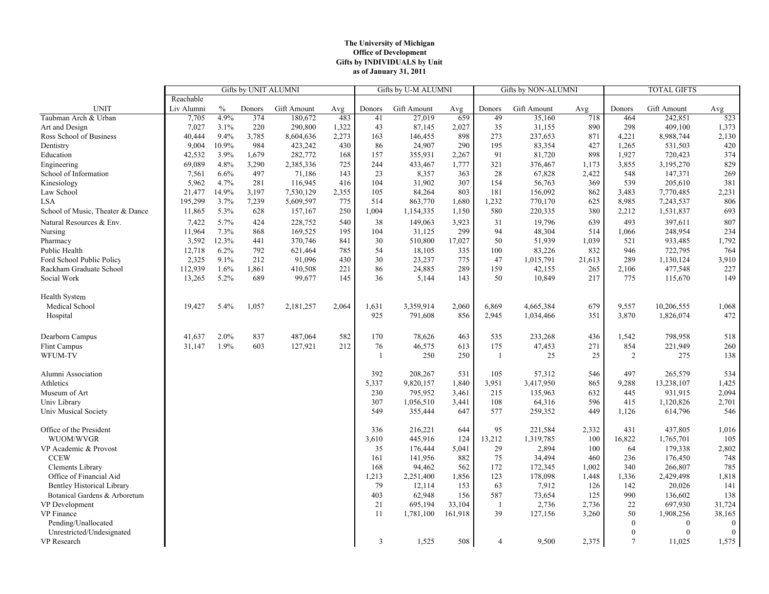#### **The University of Michigan Office of Development Gifts by INDIVIDUALS by Unit as of January 31, 2011**

|                                   | Gifts by UNIT ALUMNI |       |        |             | Gifts by U-M ALUMNI |                |             | Gifts by NON-ALUMNI |                |             | <b>TOTAL GIFTS</b> |                 |             |                |
|-----------------------------------|----------------------|-------|--------|-------------|---------------------|----------------|-------------|---------------------|----------------|-------------|--------------------|-----------------|-------------|----------------|
|                                   | Reachable            |       |        |             |                     |                |             |                     |                |             |                    |                 |             |                |
| <b>UNIT</b>                       | Liv Alumni           | $\%$  | Donors | Gift Amount | Avg                 | Donors         | Gift Amount | Avg                 | Donors         | Gift Amount | Avg                | Donors          | Gift Amount | Avg            |
| Taubman Arch & Urban              | 7,705                | 4.9%  | 374    | 180,672     | 483                 | 41             | 27,019      | 659                 | 49             | 35,160      | 718                | 464             | 242,851     | 523            |
| Art and Design                    | 7,027                | 3.1%  | 220    | 290,800     | 1,322               | 43             | 87,145      | 2,027               | 35             | 31,155      | 890                | 298             | 409,100     | 1,373          |
| Ross School of Business           | 40,444               | 9.4%  | 3,785  | 8,604,636   | 2,273               | 163            | 146,455     | 898                 | 273            | 237,653     | 871                | 4,221           | 8,988,744   | 2,130          |
| Dentistry                         | 9,004                | 10.9% | 984    | 423,242     | 430                 | 86             | 24,907      | 290                 | 195            | 83,354      | 427                | 1,265           | 531,503     | 420            |
| Education                         | 42,532               | 3.9%  | 1,679  | 282,772     | 168                 | 157            | 355,931     | 2,267               | 91             | 81,720      | 898                | 1,927           | 720,423     | 374            |
| Engineering                       | 69,089               | 4.8%  | 3,290  | 2,385,336   | 725                 | 244            | 433,467     | 1,777               | 321            | 376,467     | 1,173              | 3,855           | 3,195,270   | 829            |
| School of Information             | 7,561                | 6.6%  | 497    | 71,186      | 143                 | 23             | 8,357       | 363                 | 28             | 67,828      | 2,422              | 548             | 147,371     | 269            |
| Kinesiology                       | 5,962                | 4.7%  | 281    | 116,945     | 416                 | 104            | 31,902      | 307                 | 154            | 56,763      | 369                | 539             | 205,610     | 381            |
| Law School                        | 21,477               | 14.9% | 3,197  | 7,530,129   | 2,355               | 105            | 84,264      | 803                 | 181            | 156,092     | 862                | 3,483           | 7,770,485   | 2,231          |
| <b>LSA</b>                        | 195,299              | 3.7%  | 7,239  | 5,609,597   | 775                 | 514            | 863,770     | 1,680               | 1,232          | 770,170     | 625                | 8,985           | 7,243,537   | 806            |
| School of Music, Theater & Dance  | 11,865               | 5.3%  | 628    | 157,167     | 250                 | 1,004          | 1,154,335   | 1,150               | 580            | 220,335     | 380                | 2,212           | 1,531,837   | 693            |
| Natural Resources & Env.          | 7,422                | 5.7%  | 424    | 228,752     | 540                 | 38             | 149,063     | 3,923               | 31             | 19,796      | 639                | 493             | 397,611     | 807            |
| Nursing                           | 11,964               | 7.3%  | 868    | 169,525     | 195                 | 104            | 31,125      | 299                 | 94             | 48,304      | 514                | 1,066           | 248,954     | 234            |
| Pharmacy                          | 3,592                | 12.3% | 441    | 370,746     | 841                 | 30             | 510,800     | 17,027              | 50             | 51,939      | 1,039              | 521             | 933,485     | 1,792          |
| Public Health                     | 12,718               | 6.2%  | 792    | 621,464     | 785                 | 54             | 18,105      | 335                 | 100            | 83,226      | 832                | 946             | 722,795     | 764            |
| Ford School Public Policy         | 2,325                | 9.1%  | 212    | 91,096      | 430                 | 30             | 23,237      | 775                 | 47             | 1,015,791   | 21,613             | 289             | 1,130,124   | 3,910          |
| Rackham Graduate School           | 112,939              | 1.6%  | 1,861  | 410,508     | 221                 | 86             | 24,885      | 289                 | 159            | 42,155      | 265                | 2,106           | 477,548     | 227            |
| Social Work                       | 13,265               | 5.2%  | 689    | 99,677      | 145                 | 36             | 5,144       | 143                 | 50             | 10,849      | 217                | 775             | 115,670     | 149            |
|                                   |                      |       |        |             |                     |                |             |                     |                |             |                    |                 |             |                |
| Health System                     |                      |       |        |             |                     |                |             |                     |                |             |                    |                 |             |                |
| Medical School                    | 19,427               | 5.4%  | 1,057  | 2,181,257   | 2,064               | 1,631          | 3,359,914   | 2,060               | 6,869          | 4,665,384   | 679                | 9,557           | 10,206,555  | 1,068          |
| Hospital                          |                      |       |        |             |                     | 925            | 791,608     | 856                 | 2,945          | 1,034,466   | 351                | 3,870           | 1,826,074   | 472            |
|                                   |                      |       |        |             |                     |                |             |                     |                |             |                    |                 |             |                |
| Dearborn Campus                   | 41,637               | 2.0%  | 837    | 487,064     | 582                 | 170            | 78,626      | 463                 | 535            | 233,268     | 436                | 1,542           | 798,958     | 518            |
| <b>Flint Campus</b>               | 31,147               | 1.9%  | 603    | 127,921     | 212                 | 76             | 46,575      | 613                 | 175            | 47,453      | 271                | 854             | 221,949     | 260            |
| WFUM-TV                           |                      |       |        |             |                     | $\mathbf{1}$   | 250         | 250                 | 1              | 25          | 25                 | 2               | 275         | 138            |
|                                   |                      |       |        |             |                     |                |             |                     |                |             |                    |                 |             |                |
| Alumni Association                |                      |       |        |             |                     | 392            | 208,267     | 531                 | 105            | 57,312      | 546                | 497             | 265,579     | 534            |
| Athletics                         |                      |       |        |             |                     | 5,337          | 9,820,157   | 1,840               | 3,951          | 3,417,950   | 865                | 9,288           | 13,238,107  | 1,425          |
| Museum of Art                     |                      |       |        |             |                     | 230            | 795,952     | 3,461               | 215            | 135,963     | 632                | 445             | 931,915     | 2,094          |
| Univ Library                      |                      |       |        |             |                     | 307            | 1,056,510   | 3,441               | 108            | 64,316      | 596                | 415             | 1,120,826   | 2,701          |
| Univ Musical Society              |                      |       |        |             |                     | 549            | 355,444     | 647                 | 577            | 259,352     | 449                | 1,126           | 614,796     | 546            |
|                                   |                      |       |        |             |                     |                |             |                     |                |             |                    |                 |             |                |
| Office of the President           |                      |       |        |             |                     | 336            | 216,221     | 644                 | 95             | 221,584     | 2,332              | 431             | 437,805     | 1,016          |
| WUOM/WVGR                         |                      |       |        |             |                     | 3,610          | 445,916     | 124                 | 13,212         | 1,319,785   | 100                | 16,822          | 1,765,701   | 105            |
| VP Academic & Provost             |                      |       |        |             |                     | 35             | 176,444     | 5,041               | 29             | 2,894       | 100                | 64              | 179,338     | 2,802          |
| <b>CCEW</b>                       |                      |       |        |             |                     | 161            | 141,956     | 882                 | 75             | 34,494      | 460                | 236             | 176,450     | 748            |
| Clements Library                  |                      |       |        |             |                     | 168            | 94,462      | 562                 | 172            | 172,345     | 1,002              | 340             | 266,807     | 785            |
| Office of Financial Aid           |                      |       |        |             |                     | 1,213          | 2,251,400   | 1,856               | 123            | 178,098     | 1,448              | 1,336           | 2,429,498   | 1,818          |
| <b>Bentley Historical Library</b> |                      |       |        |             |                     | 79             | 12,114      | 153                 | 63             | 7,912       | 126                | 142             | 20,026      | 141            |
| Botanical Gardens & Arboretum     |                      |       |        |             |                     | 403            | 62,948      | 156                 | 587            | 73,654      | 125                | 990             | 136,602     | 138            |
| VP Development                    |                      |       |        |             |                     | 21             | 695,194     | 33,104              | 1              | 2,736       | 2,736              | 22              | 697,930     | 31,724         |
| VP Finance                        |                      |       |        |             |                     | 11             | 1,781,100   | 161,918             | 39             | 127,156     | 3,260              | 50              | 1,908,256   | 38,165         |
| Pending/Unallocated               |                      |       |        |             |                     |                |             |                     |                |             |                    | $\mathbf{0}$    | $\theta$    | $\bf{0}$       |
| Unrestricted/Undesignated         |                      |       |        |             |                     |                |             |                     |                |             |                    | $\theta$        | $\Omega$    | $\overline{0}$ |
| VP Research                       |                      |       |        |             |                     | $\mathfrak{Z}$ | 1,525       | 508                 | $\overline{4}$ | 9,500       | 2,375              | $7\phantom{.0}$ | 11,025      | 1,575          |
|                                   |                      |       |        |             |                     |                |             |                     |                |             |                    |                 |             |                |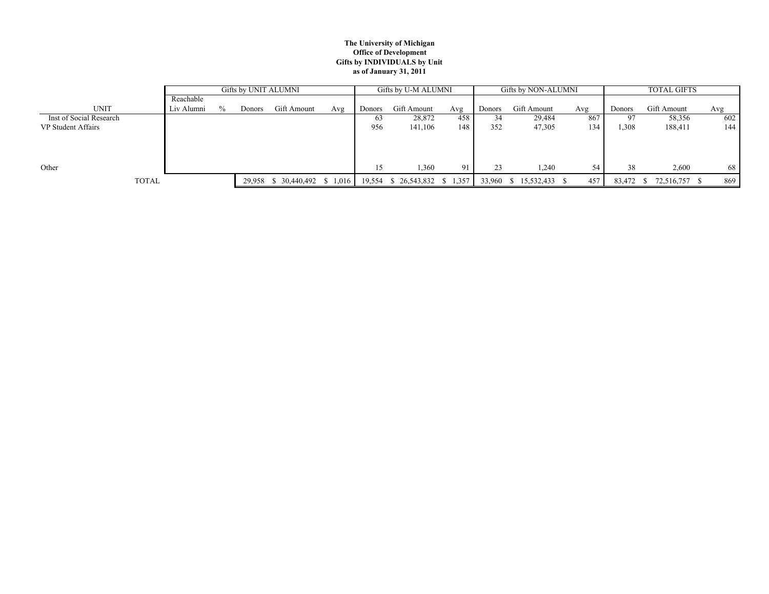#### **The University of Michigan Office of Development Gifts by INDIVIDUALS by Unit as of January 31, 2011**

|                         |            | Gifts by UNIT ALUMNI |        |                               |     |        | Gifts by U-M ALUMNI           |                |        | Gifts by NON-ALUMNI |     | <b>TOTAL GIFTS</b> |               |     |  |
|-------------------------|------------|----------------------|--------|-------------------------------|-----|--------|-------------------------------|----------------|--------|---------------------|-----|--------------------|---------------|-----|--|
|                         | Reachable  |                      |        |                               |     |        |                               |                |        |                     |     |                    |               |     |  |
| <b>UNIT</b>             | Liv Alumni | $\frac{0}{0}$        | Donors | Gift Amount                   | Avg | Donors | Gift Amount                   | Avg            | Donors | Gift Amount         | Avg | Donors             | Gift Amount   | Avg |  |
| Inst of Social Research |            |                      |        |                               |     | -63    | 28,872                        | 458            |        | 29,484              | 867 | 97                 | 58,356        | 602 |  |
| VP Student Affairs      |            |                      |        |                               |     | 956    | 141,106                       | 148            | 352    | 47,305              | 134 | 1,308              | 188,411       | 144 |  |
|                         |            |                      |        |                               |     |        |                               |                |        |                     |     |                    |               |     |  |
|                         |            |                      |        |                               |     |        |                               |                |        |                     |     |                    |               |     |  |
|                         |            |                      |        |                               |     |        |                               |                |        |                     |     |                    |               |     |  |
| Other                   |            |                      |        |                               |     |        | 1,360                         | Q <sub>1</sub> | 23     | 1,240               | 54  | 38                 | 2,600         | 68  |  |
| <b>TOTAL</b>            |            |                      |        | 29,958 \$ 30,440,492 \$ 1,016 |     |        | 19,554 \$ 26,543,832 \$ 1,357 |                | 33,960 | $$15,532,433$ \;    | 457 | 83,472             | 72,516,757 \$ | 869 |  |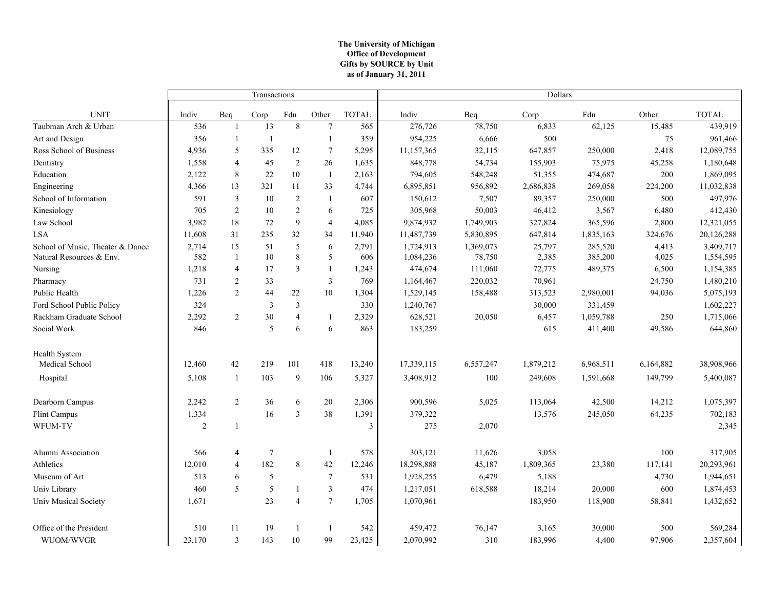#### **The University of Michigan Office of Development as of January 31, 2011 Gifts by SOURCE by Unit**

|                                  |                |                         | Transactions   |                |                 |                         | Dollars    |           |           |           |           |              |  |
|----------------------------------|----------------|-------------------------|----------------|----------------|-----------------|-------------------------|------------|-----------|-----------|-----------|-----------|--------------|--|
| <b>UNIT</b>                      | Indiv          | Beq                     | Corp           | Fdn            | Other           | <b>TOTAL</b>            | Indiv      | Beq       | Corp      | Fdn       | Other     | <b>TOTAL</b> |  |
| Taubman Arch & Urban             | 536            | $\overline{1}$          | 13             | $\,8\,$        | $7\phantom{.0}$ | 565                     | 276,726    | 78,750    | 6,833     | 62,125    | 15,485    | 439,919      |  |
| Art and Design                   | 356            | -1                      | $\mathbf{1}$   |                | 1               | 359                     | 954,225    | 6,666     | 500       |           | 75        | 961,466      |  |
| Ross School of Business          | 4,936          | 5                       | 335            | 12             | 7               | 5,295                   | 11,157,365 | 32,115    | 647,857   | 250,000   | 2,418     | 12,089,755   |  |
| Dentistry                        | 1,558          | $\overline{4}$          | 45             | $\sqrt{2}$     | 26              | 1,635                   | 848,778    | 54,734    | 155,903   | 75,975    | 45,258    | 1,180,648    |  |
| Education                        | 2,122          | $\,8\,$                 | 22             | 10             | -1              | 2,163                   | 794,605    | 548,248   | 51,355    | 474,687   | 200       | 1,869,095    |  |
| Engineering                      | 4,366          | 13                      | 321            | 11             | 33              | 4,744                   | 6,895,851  | 956,892   | 2,686,838 | 269,058   | 224,200   | 11,032,838   |  |
| School of Information            | 591            | $\overline{\mathbf{3}}$ | 10             | $\overline{c}$ | -1              | 607                     | 150,612    | 7,507     | 89,357    | 250,000   | 500       | 497,976      |  |
| Kinesiology                      | 705            | $\overline{2}$          | 10             | $\sqrt{2}$     | 6               | 725                     | 305,968    | 50,003    | 46,412    | 3,567     | 6,480     | 412,430      |  |
| Law School                       | 3,982          | 18                      | 72             | $\overline{9}$ | $\overline{4}$  | 4,085                   | 9,874,932  | 1,749,903 | 327,824   | 365,596   | 2,800     | 12,321,055   |  |
| <b>LSA</b>                       | 11,608         | 31                      | 235            | 32             | 34              | 11,940                  | 11,487,739 | 5,830,895 | 647,814   | 1,835,163 | 324,676   | 20,126,288   |  |
| School of Music, Theater & Dance | 2,714          | 15                      | 51             | 5              | 6               | 2,791                   | 1,724,913  | 1,369,073 | 25,797    | 285,520   | 4,413     | 3,409,717    |  |
| Natural Resources & Env.         | 582            | -1                      | 10             | 8              | 5               | 606                     | 1,084,236  | 78,750    | 2,385     | 385,200   | 4,025     | 1,554,595    |  |
| Nursing                          | 1,218          | $\overline{4}$          | 17             | 3              | 1               | 1,243                   | 474,674    | 111,060   | 72,775    | 489,375   | 6,500     | 1,154,385    |  |
| Pharmacy                         | 731            | $\overline{2}$          | 33             |                | $\mathfrak{Z}$  | 769                     | 1,164,467  | 220,032   | 70,961    |           | 24,750    | 1,480,210    |  |
| Public Health                    | 1,226          | $\overline{2}$          | 44             | 22             | 10              | 1,304                   | 1,529,145  | 158,488   | 313,523   | 2,980,001 | 94,036    | 5,075,193    |  |
| Ford School Public Policy        | 324            |                         | 3              | 3              |                 | 330                     | 1,240,767  |           | 30,000    | 331,459   |           | 1,602,227    |  |
| Rackham Graduate School          | 2,292          | $\overline{2}$          | 30             | $\overline{4}$ | -1              | 2,329                   | 628,521    | 20,050    | 6,457     | 1,059,788 | 250       | 1,715,066    |  |
| Social Work                      | 846            |                         | 5              | 6              | 6               | 863                     | 183,259    |           | 615       | 411,400   | 49,586    | 644,860      |  |
| <b>Health System</b>             |                |                         |                |                |                 |                         |            |           |           |           |           |              |  |
| Medical School                   | 12,460         | 42                      | 219            | 101            | 418             | 13,240                  | 17,339,115 | 6,557,247 | 1,879,212 | 6,968,511 | 6,164,882 | 38,908,966   |  |
| Hospital                         | 5,108          | $\mathbf{1}$            | 103            | 9              | 106             | 5,327                   | 3,408,912  | 100       | 249,608   | 1,591,668 | 149,799   | 5,400,087    |  |
| Dearborn Campus                  | 2,242          | 2                       | 36             | 6              | 20              | 2,306                   | 900,596    | 5,025     | 113,064   | 42,500    | 14,212    | 1,075,397    |  |
| Flint Campus                     | 1,334          |                         | 16             | $\overline{3}$ | 38              | 1,391                   | 379,322    |           | 13,576    | 245,050   | 64,235    | 702,183      |  |
| WFUM-TV                          | $\overline{2}$ | -1                      |                |                |                 | $\overline{\mathbf{a}}$ | 275        | 2,070     |           |           |           | 2,345        |  |
| Alumni Association               | 566            | $\overline{4}$          | $\overline{7}$ |                | -1              | 578                     | 303,121    | 11,626    | 3,058     |           | 100       | 317,905      |  |
| Athletics                        | 12,010         | $\overline{4}$          | 182            | 8              | 42              | 12,246                  | 18,298,888 | 45,187    | 1,809,365 | 23,380    | 117,141   | 20,293,961   |  |
| Museum of Art                    | 513            | 6                       | 5              |                | $7\phantom{.0}$ | 531                     | 1,928,255  | 6,479     | 5,188     |           | 4,730     | 1,944,651    |  |
| Univ Library                     | 460            | 5                       | 5              | 1              | $\overline{3}$  | 474                     | 1,217,051  | 618,588   | 18,214    | 20,000    | 600       | 1,874,453    |  |
| Univ Musical Society             | 1,671          |                         | 23             | $\overline{4}$ | $\overline{7}$  | 1,705                   | 1,070,961  |           | 183,950   | 118,900   | 58,841    | 1,432,652    |  |
| Office of the President          | 510            | 11                      | 19             | 1              | $\overline{1}$  | 542                     | 459,472    | 76,147    | 3,165     | 30,000    | 500       | 569,284      |  |
| WUOM/WVGR                        | 23,170         | $\overline{3}$          | 143            | 10             | 99              | 23,425                  | 2,070,992  | 310       | 183,996   | 4,400     | 97,906    | 2,357,604    |  |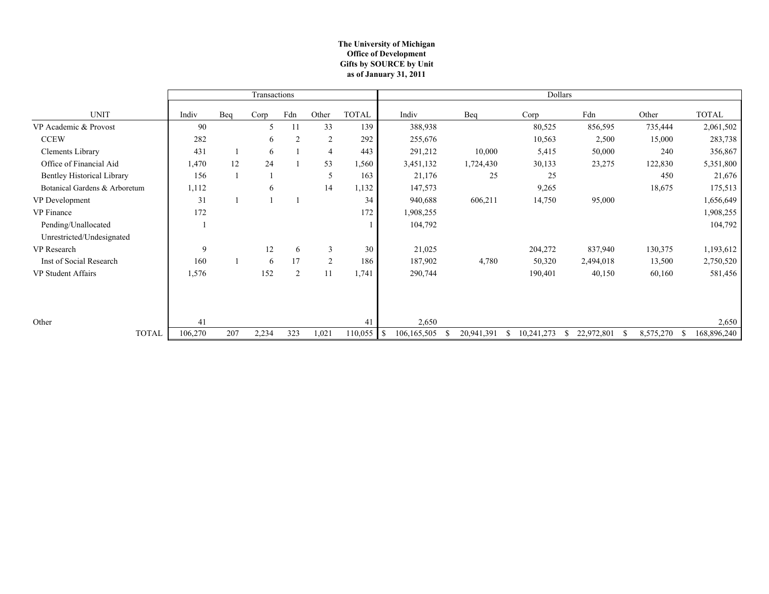#### **The University of Michigan Office of Development as of January 31, 2011 Gifts by SOURCE by Unit**

|                                   |         |     | Transactions |                |                |              | Dollars             |            |            |            |                |              |  |
|-----------------------------------|---------|-----|--------------|----------------|----------------|--------------|---------------------|------------|------------|------------|----------------|--------------|--|
| <b>UNIT</b>                       | Indiv   | Beq | Corp         | Fdn            | Other          | <b>TOTAL</b> | Indiv               | Beq        | Corp       | Fdn        | Other          | <b>TOTAL</b> |  |
| VP Academic & Provost             | 90      |     | 5            | 11             | 33             | 139          | 388,938             |            | 80,525     | 856,595    | 735,444        | 2,061,502    |  |
| <b>CCEW</b>                       | 282     |     | 6            | $\overline{2}$ | $\overline{2}$ | 292          | 255,676             |            | 10,563     | 2,500      | 15,000         | 283,738      |  |
| Clements Library                  | 431     |     | 6            |                | 4              | 443          | 291,212             | 10,000     | 5,415      | 50,000     | 240            | 356,867      |  |
| Office of Financial Aid           | 1,470   | 12  | 24           |                | 53             | 1,560        | 3,451,132           | 1,724,430  | 30,133     | 23,275     | 122,830        | 5,351,800    |  |
| <b>Bentley Historical Library</b> | 156     |     |              |                | 5              | 163          | 21,176              | 25         | 25         |            | 450            | 21,676       |  |
| Botanical Gardens & Arboretum     | 1,112   |     | 6            |                | 14             | 1,132        | 147,573             |            | 9,265      |            | 18,675         | 175,513      |  |
| VP Development                    | 31      |     |              |                |                | 34           | 940,688             | 606,211    | 14,750     | 95,000     |                | 1,656,649    |  |
| <b>VP</b> Finance                 | 172     |     |              |                |                | 172          | 1,908,255           |            |            |            |                | 1,908,255    |  |
| Pending/Unallocated               |         |     |              |                |                |              | 104,792             |            |            |            |                | 104,792      |  |
| Unrestricted/Undesignated         |         |     |              |                |                |              |                     |            |            |            |                |              |  |
| VP Research                       | 9       |     | 12           | 6              | 3              | 30           | 21,025              |            | 204,272    | 837,940    | 130,375        | 1,193,612    |  |
| Inst of Social Research           | 160     |     | 6            | 17             | $\overline{2}$ | 186          | 187,902             | 4,780      | 50,320     | 2,494,018  | 13,500         | 2,750,520    |  |
| VP Student Affairs                | 1,576   |     | 152          | $\overline{2}$ | 11             | 1,741        | 290,744             |            | 190,401    | 40,150     | 60,160         | 581,456      |  |
|                                   |         |     |              |                |                |              |                     |            |            |            |                |              |  |
|                                   |         |     |              |                |                |              |                     |            |            |            |                |              |  |
| Other                             | 41      |     |              |                |                | 41           | 2,650               |            |            |            |                | 2,650        |  |
| <b>TOTAL</b>                      | 106,270 | 207 | 2,234        | 323            | 1,021          | 110,055      | 106, 165, 505<br>-S | 20,941,391 | 10,241,273 | 22,972,801 | 8,575,270<br>S | 168,896,240  |  |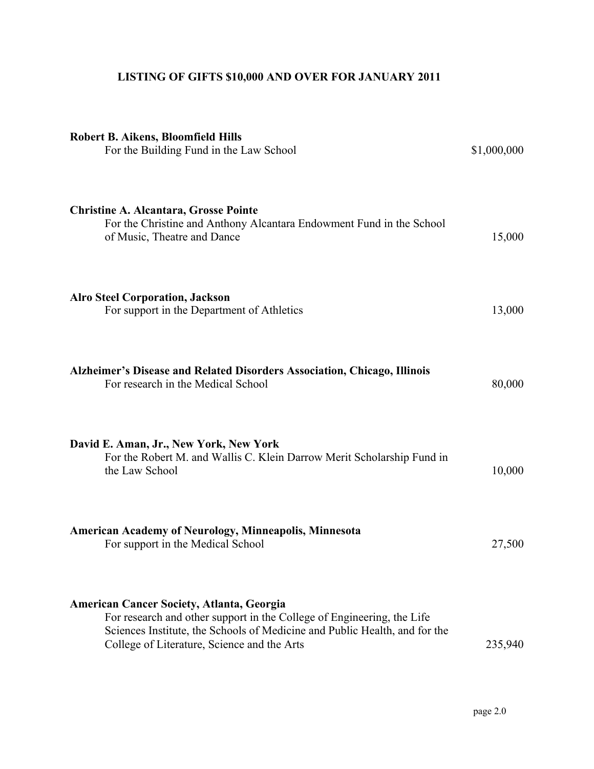# **LISTING OF GIFTS \$10,000 AND OVER FOR JANUARY 2011**

| <b>Robert B. Aikens, Bloomfield Hills</b><br>For the Building Fund in the Law School                                                                                                                                                                    | \$1,000,000 |
|---------------------------------------------------------------------------------------------------------------------------------------------------------------------------------------------------------------------------------------------------------|-------------|
| <b>Christine A. Alcantara, Grosse Pointe</b><br>For the Christine and Anthony Alcantara Endowment Fund in the School<br>of Music, Theatre and Dance                                                                                                     | 15,000      |
| <b>Alro Steel Corporation, Jackson</b><br>For support in the Department of Athletics                                                                                                                                                                    | 13,000      |
| Alzheimer's Disease and Related Disorders Association, Chicago, Illinois<br>For research in the Medical School                                                                                                                                          | 80,000      |
| David E. Aman, Jr., New York, New York<br>For the Robert M. and Wallis C. Klein Darrow Merit Scholarship Fund in<br>the Law School                                                                                                                      | 10,000      |
| <b>American Academy of Neurology, Minneapolis, Minnesota</b><br>For support in the Medical School                                                                                                                                                       | 27,500      |
| <b>American Cancer Society, Atlanta, Georgia</b><br>For research and other support in the College of Engineering, the Life<br>Sciences Institute, the Schools of Medicine and Public Health, and for the<br>College of Literature, Science and the Arts | 235,940     |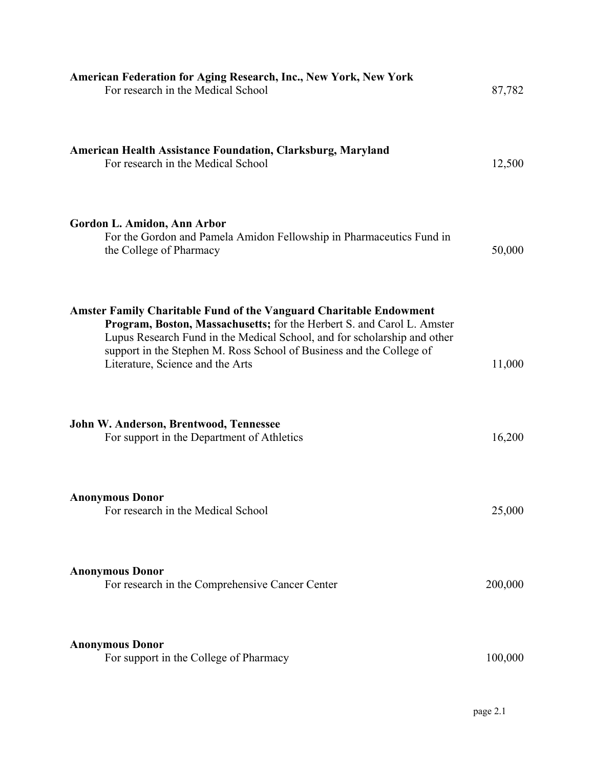| American Federation for Aging Research, Inc., New York, New York<br>For research in the Medical School                                                                                                                                                                                                                                      | 87,782  |
|---------------------------------------------------------------------------------------------------------------------------------------------------------------------------------------------------------------------------------------------------------------------------------------------------------------------------------------------|---------|
| <b>American Health Assistance Foundation, Clarksburg, Maryland</b><br>For research in the Medical School                                                                                                                                                                                                                                    | 12,500  |
| Gordon L. Amidon, Ann Arbor<br>For the Gordon and Pamela Amidon Fellowship in Pharmaceutics Fund in<br>the College of Pharmacy                                                                                                                                                                                                              | 50,000  |
| <b>Amster Family Charitable Fund of the Vanguard Charitable Endowment</b><br>Program, Boston, Massachusetts; for the Herbert S. and Carol L. Amster<br>Lupus Research Fund in the Medical School, and for scholarship and other<br>support in the Stephen M. Ross School of Business and the College of<br>Literature, Science and the Arts | 11,000  |
| John W. Anderson, Brentwood, Tennessee<br>For support in the Department of Athletics                                                                                                                                                                                                                                                        | 16,200  |
| <b>Anonymous Donor</b><br>For research in the Medical School                                                                                                                                                                                                                                                                                | 25,000  |
| <b>Anonymous Donor</b><br>For research in the Comprehensive Cancer Center                                                                                                                                                                                                                                                                   | 200,000 |
| <b>Anonymous Donor</b><br>For support in the College of Pharmacy                                                                                                                                                                                                                                                                            | 100,000 |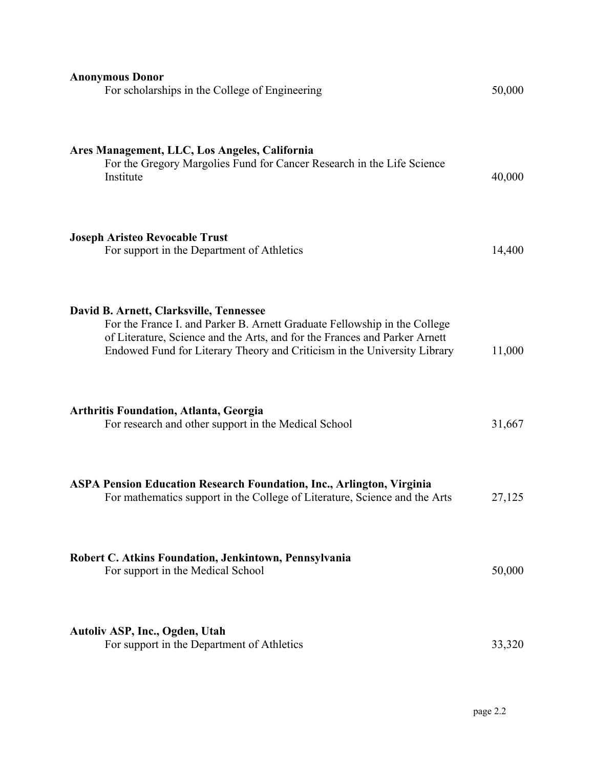| <b>Anonymous Donor</b><br>For scholarships in the College of Engineering                                                                                                                                                                                                       | 50,000 |
|--------------------------------------------------------------------------------------------------------------------------------------------------------------------------------------------------------------------------------------------------------------------------------|--------|
| Ares Management, LLC, Los Angeles, California<br>For the Gregory Margolies Fund for Cancer Research in the Life Science<br>Institute                                                                                                                                           | 40,000 |
| <b>Joseph Aristeo Revocable Trust</b><br>For support in the Department of Athletics                                                                                                                                                                                            | 14,400 |
| David B. Arnett, Clarksville, Tennessee<br>For the France I. and Parker B. Arnett Graduate Fellowship in the College<br>of Literature, Science and the Arts, and for the Frances and Parker Arnett<br>Endowed Fund for Literary Theory and Criticism in the University Library | 11,000 |
| <b>Arthritis Foundation, Atlanta, Georgia</b><br>For research and other support in the Medical School                                                                                                                                                                          | 31,667 |
| <b>ASPA Pension Education Research Foundation, Inc., Arlington, Virginia</b><br>For mathematics support in the College of Literature, Science and the Arts                                                                                                                     | 27,125 |
| Robert C. Atkins Foundation, Jenkintown, Pennsylvania<br>For support in the Medical School                                                                                                                                                                                     | 50,000 |
| Autoliv ASP, Inc., Ogden, Utah<br>For support in the Department of Athletics                                                                                                                                                                                                   | 33,320 |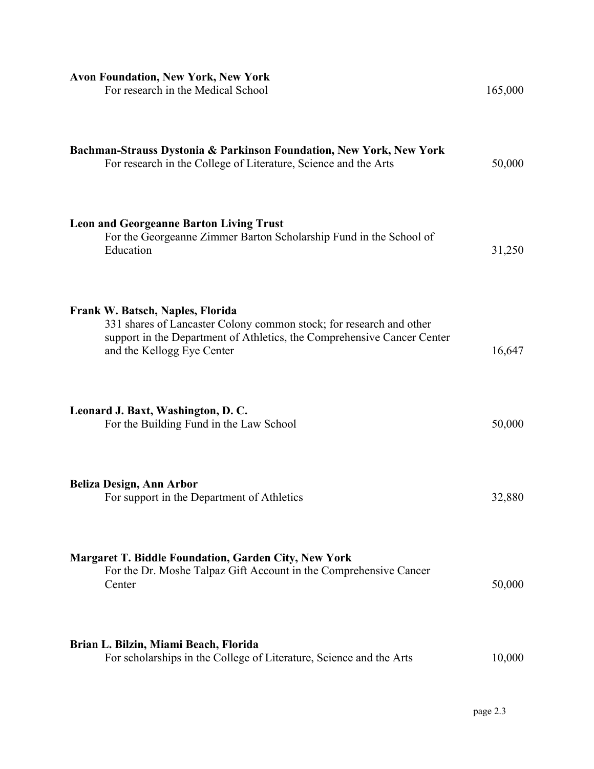| <b>Avon Foundation, New York, New York</b><br>For research in the Medical School                                                                                                                                 | 165,000 |
|------------------------------------------------------------------------------------------------------------------------------------------------------------------------------------------------------------------|---------|
| Bachman-Strauss Dystonia & Parkinson Foundation, New York, New York<br>For research in the College of Literature, Science and the Arts                                                                           | 50,000  |
| <b>Leon and Georgeanne Barton Living Trust</b><br>For the Georgeanne Zimmer Barton Scholarship Fund in the School of<br>Education                                                                                | 31,250  |
| Frank W. Batsch, Naples, Florida<br>331 shares of Lancaster Colony common stock; for research and other<br>support in the Department of Athletics, the Comprehensive Cancer Center<br>and the Kellogg Eye Center | 16,647  |
| Leonard J. Baxt, Washington, D. C.<br>For the Building Fund in the Law School                                                                                                                                    | 50,000  |
| <b>Beliza Design, Ann Arbor</b><br>For support in the Department of Athletics                                                                                                                                    | 32,880  |
| <b>Margaret T. Biddle Foundation, Garden City, New York</b><br>For the Dr. Moshe Talpaz Gift Account in the Comprehensive Cancer<br>Center                                                                       | 50,000  |
| Brian L. Bilzin, Miami Beach, Florida<br>For scholarships in the College of Literature, Science and the Arts                                                                                                     | 10,000  |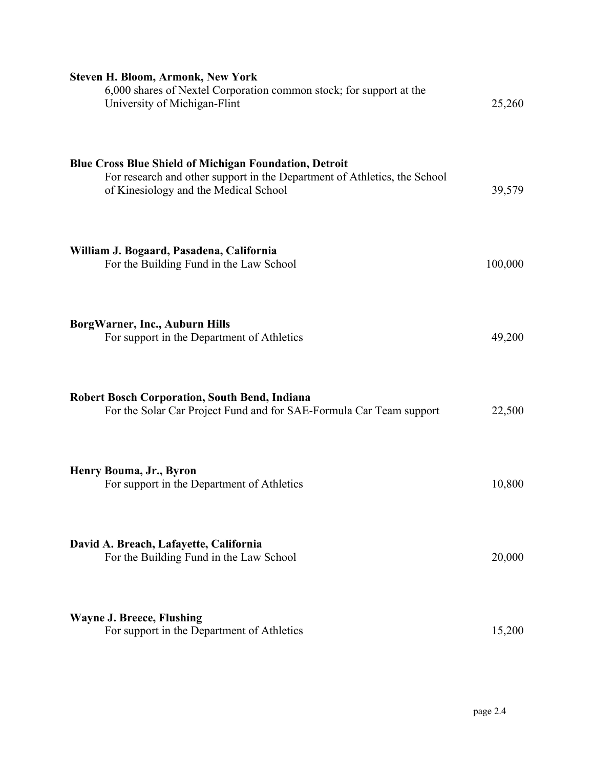| <b>Steven H. Bloom, Armonk, New York</b><br>6,000 shares of Nextel Corporation common stock; for support at the<br>University of Michigan-Flint                                     | 25,260  |
|-------------------------------------------------------------------------------------------------------------------------------------------------------------------------------------|---------|
| <b>Blue Cross Blue Shield of Michigan Foundation, Detroit</b><br>For research and other support in the Department of Athletics, the School<br>of Kinesiology and the Medical School | 39,579  |
| William J. Bogaard, Pasadena, California<br>For the Building Fund in the Law School                                                                                                 | 100,000 |
| BorgWarner, Inc., Auburn Hills<br>For support in the Department of Athletics                                                                                                        | 49,200  |
| <b>Robert Bosch Corporation, South Bend, Indiana</b><br>For the Solar Car Project Fund and for SAE-Formula Car Team support                                                         | 22,500  |
| Henry Bouma, Jr., Byron<br>For support in the Department of Athletics                                                                                                               | 10,800  |
| David A. Breach, Lafayette, California<br>For the Building Fund in the Law School                                                                                                   | 20,000  |
| <b>Wayne J. Breece, Flushing</b><br>For support in the Department of Athletics                                                                                                      | 15,200  |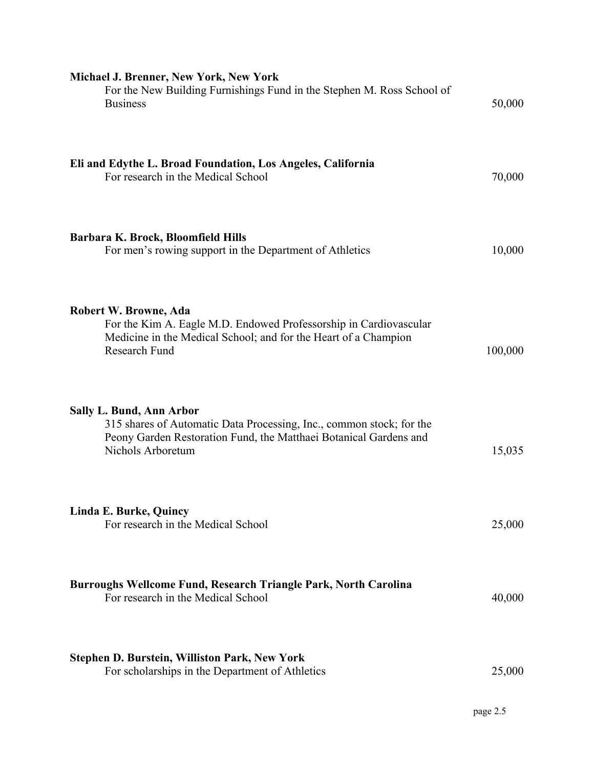| <b>Michael J. Brenner, New York, New York</b><br>For the New Building Furnishings Fund in the Stephen M. Ross School of<br><b>Business</b>                                                 | 50,000  |
|--------------------------------------------------------------------------------------------------------------------------------------------------------------------------------------------|---------|
| Eli and Edythe L. Broad Foundation, Los Angeles, California<br>For research in the Medical School                                                                                          | 70,000  |
| Barbara K. Brock, Bloomfield Hills<br>For men's rowing support in the Department of Athletics                                                                                              | 10,000  |
| Robert W. Browne, Ada<br>For the Kim A. Eagle M.D. Endowed Professorship in Cardiovascular<br>Medicine in the Medical School; and for the Heart of a Champion<br>Research Fund             | 100,000 |
| Sally L. Bund, Ann Arbor<br>315 shares of Automatic Data Processing, Inc., common stock; for the<br>Peony Garden Restoration Fund, the Matthaei Botanical Gardens and<br>Nichols Arboretum | 15,035  |
| Linda E. Burke, Quincy<br>For research in the Medical School                                                                                                                               | 25,000  |
| Burroughs Wellcome Fund, Research Triangle Park, North Carolina<br>For research in the Medical School                                                                                      | 40,000  |
| <b>Stephen D. Burstein, Williston Park, New York</b><br>For scholarships in the Department of Athletics                                                                                    | 25,000  |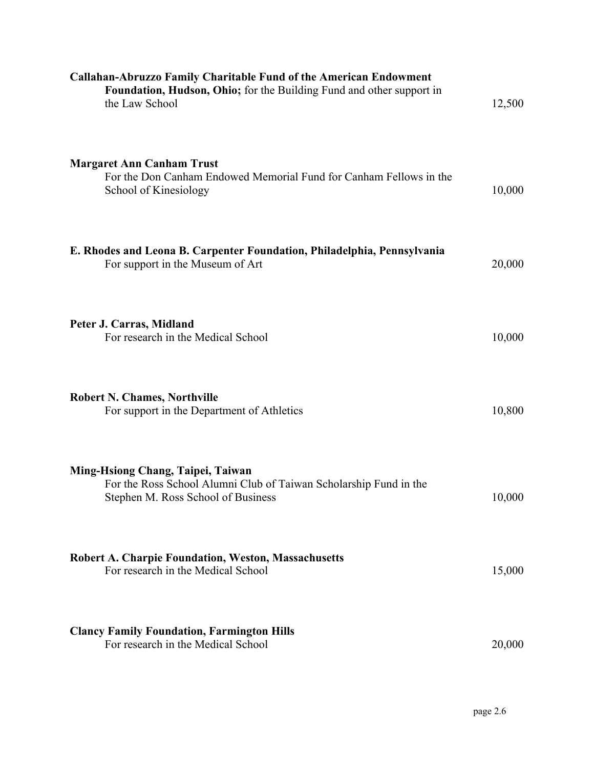| <b>Callahan-Abruzzo Family Charitable Fund of the American Endowment</b><br>Foundation, Hudson, Ohio; for the Building Fund and other support in<br>the Law School | 12,500 |
|--------------------------------------------------------------------------------------------------------------------------------------------------------------------|--------|
| <b>Margaret Ann Canham Trust</b><br>For the Don Canham Endowed Memorial Fund for Canham Fellows in the<br>School of Kinesiology                                    | 10,000 |
| E. Rhodes and Leona B. Carpenter Foundation, Philadelphia, Pennsylvania<br>For support in the Museum of Art                                                        | 20,000 |
| Peter J. Carras, Midland<br>For research in the Medical School                                                                                                     | 10,000 |
| <b>Robert N. Chames, Northville</b><br>For support in the Department of Athletics                                                                                  | 10,800 |
| Ming-Hsiong Chang, Taipei, Taiwan<br>For the Ross School Alumni Club of Taiwan Scholarship Fund in the<br>Stephen M. Ross School of Business                       | 10,000 |
| <b>Robert A. Charpie Foundation, Weston, Massachusetts</b><br>For research in the Medical School                                                                   | 15,000 |
| <b>Clancy Family Foundation, Farmington Hills</b><br>For research in the Medical School                                                                            | 20,000 |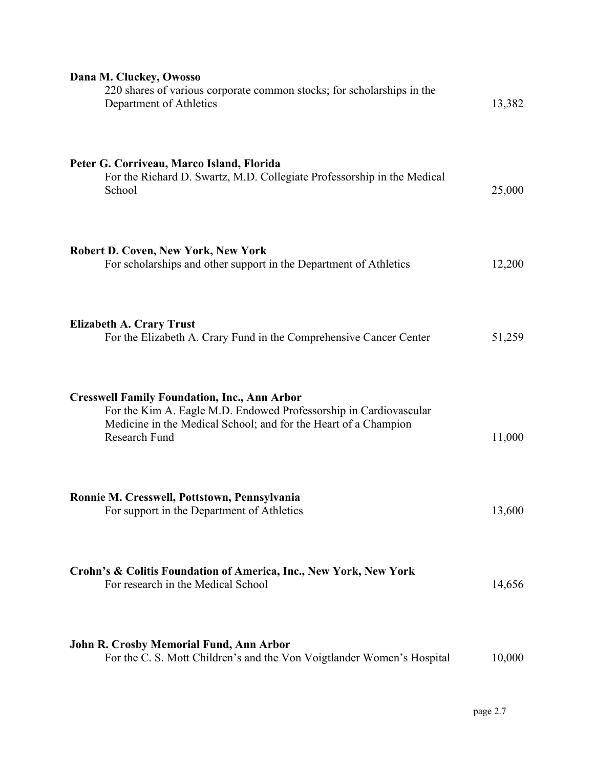| Dana M. Cluckey, Owosso<br>220 shares of various corporate common stocks; for scholarships in the<br>Department of Athletics                                                                                 | 13,382 |
|--------------------------------------------------------------------------------------------------------------------------------------------------------------------------------------------------------------|--------|
| Peter G. Corriveau, Marco Island, Florida<br>For the Richard D. Swartz, M.D. Collegiate Professorship in the Medical<br>School                                                                               | 25,000 |
| <b>Robert D. Coven, New York, New York</b><br>For scholarships and other support in the Department of Athletics                                                                                              | 12,200 |
| <b>Elizabeth A. Crary Trust</b><br>For the Elizabeth A. Crary Fund in the Comprehensive Cancer Center                                                                                                        | 51,259 |
| <b>Cresswell Family Foundation, Inc., Ann Arbor</b><br>For the Kim A. Eagle M.D. Endowed Professorship in Cardiovascular<br>Medicine in the Medical School; and for the Heart of a Champion<br>Research Fund | 11,000 |
| Ronnie M. Cresswell, Pottstown, Pennsylvania<br>For support in the Department of Athletics                                                                                                                   | 13,600 |
| Crohn's & Colitis Foundation of America, Inc., New York, New York<br>For research in the Medical School                                                                                                      | 14,656 |
| John R. Crosby Memorial Fund, Ann Arbor<br>For the C. S. Mott Children's and the Von Voigtlander Women's Hospital                                                                                            | 10,000 |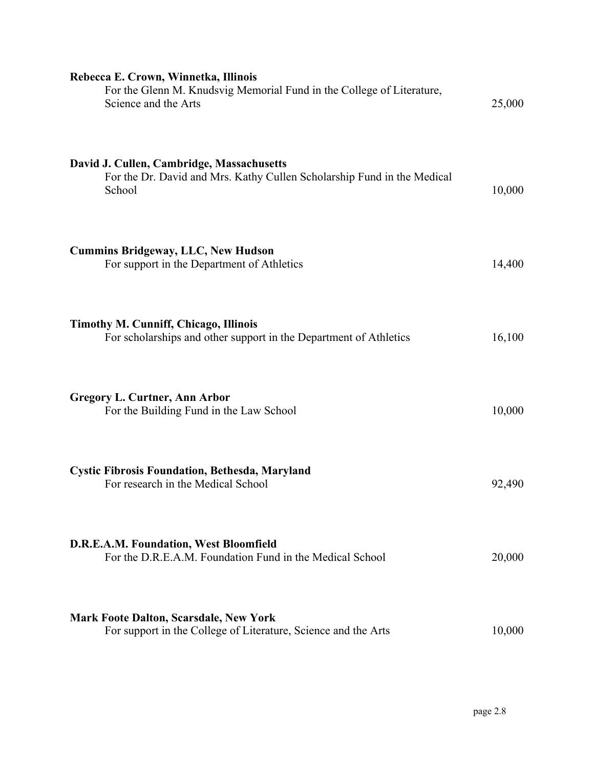| Rebecca E. Crown, Winnetka, Illinois<br>For the Glenn M. Knudsvig Memorial Fund in the College of Literature,<br>Science and the Arts | 25,000 |
|---------------------------------------------------------------------------------------------------------------------------------------|--------|
| David J. Cullen, Cambridge, Massachusetts<br>For the Dr. David and Mrs. Kathy Cullen Scholarship Fund in the Medical<br>School        | 10,000 |
| <b>Cummins Bridgeway, LLC, New Hudson</b><br>For support in the Department of Athletics                                               | 14,400 |
| <b>Timothy M. Cunniff, Chicago, Illinois</b><br>For scholarships and other support in the Department of Athletics                     | 16,100 |
| <b>Gregory L. Curtner, Ann Arbor</b><br>For the Building Fund in the Law School                                                       | 10,000 |
| <b>Cystic Fibrosis Foundation, Bethesda, Maryland</b><br>For research in the Medical School                                           | 92,490 |
| D.R.E.A.M. Foundation, West Bloomfield<br>For the D.R.E.A.M. Foundation Fund in the Medical School                                    | 20,000 |
| <b>Mark Foote Dalton, Scarsdale, New York</b><br>For support in the College of Literature, Science and the Arts                       | 10,000 |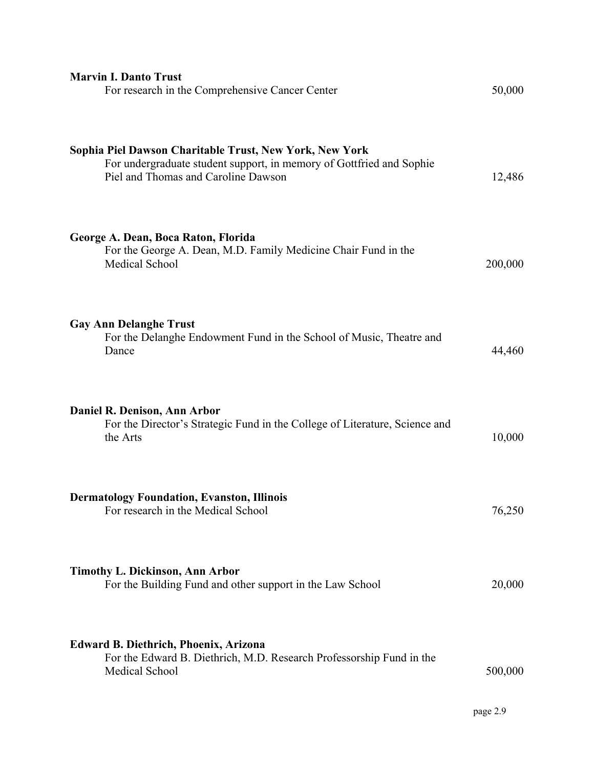| <b>Marvin I. Danto Trust</b><br>For research in the Comprehensive Cancer Center                                                                                        | 50,000  |
|------------------------------------------------------------------------------------------------------------------------------------------------------------------------|---------|
| Sophia Piel Dawson Charitable Trust, New York, New York<br>For undergraduate student support, in memory of Gottfried and Sophie<br>Piel and Thomas and Caroline Dawson | 12,486  |
| George A. Dean, Boca Raton, Florida<br>For the George A. Dean, M.D. Family Medicine Chair Fund in the<br>Medical School                                                | 200,000 |
| <b>Gay Ann Delanghe Trust</b><br>For the Delanghe Endowment Fund in the School of Music, Theatre and<br>Dance                                                          | 44,460  |
| Daniel R. Denison, Ann Arbor<br>For the Director's Strategic Fund in the College of Literature, Science and<br>the Arts                                                | 10,000  |
| <b>Dermatology Foundation, Evanston, Illinois</b><br>For research in the Medical School                                                                                | 76,250  |
| <b>Timothy L. Dickinson, Ann Arbor</b><br>For the Building Fund and other support in the Law School                                                                    | 20,000  |
| <b>Edward B. Diethrich, Phoenix, Arizona</b><br>For the Edward B. Diethrich, M.D. Research Professorship Fund in the<br>Medical School                                 | 500,000 |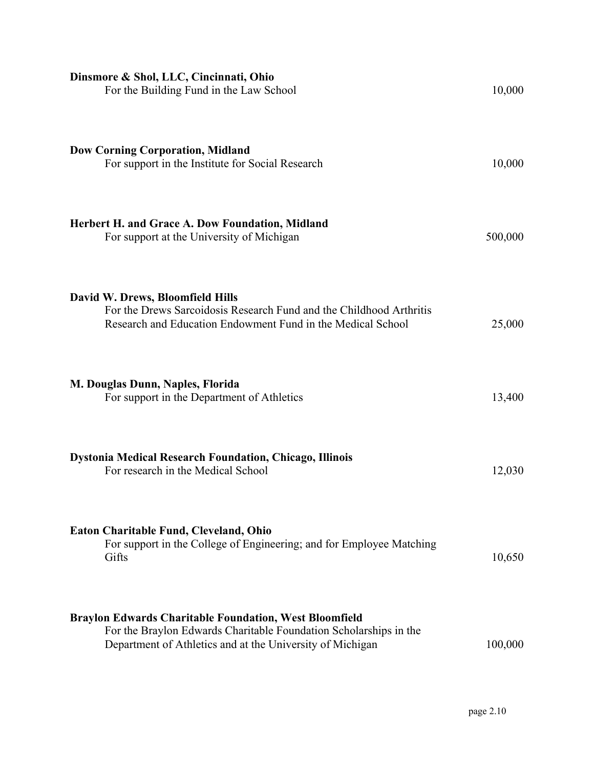| Dinsmore & Shol, LLC, Cincinnati, Ohio<br>For the Building Fund in the Law School                                                                                                               | 10,000  |
|-------------------------------------------------------------------------------------------------------------------------------------------------------------------------------------------------|---------|
| <b>Dow Corning Corporation, Midland</b><br>For support in the Institute for Social Research                                                                                                     | 10,000  |
| <b>Herbert H. and Grace A. Dow Foundation, Midland</b><br>For support at the University of Michigan                                                                                             | 500,000 |
| David W. Drews, Bloomfield Hills<br>For the Drews Sarcoidosis Research Fund and the Childhood Arthritis<br>Research and Education Endowment Fund in the Medical School                          | 25,000  |
| M. Douglas Dunn, Naples, Florida<br>For support in the Department of Athletics                                                                                                                  | 13,400  |
| <b>Dystonia Medical Research Foundation, Chicago, Illinois</b><br>For research in the Medical School                                                                                            | 12,030  |
| Eaton Charitable Fund, Cleveland, Ohio<br>For support in the College of Engineering; and for Employee Matching<br>Gifts                                                                         | 10,650  |
| <b>Braylon Edwards Charitable Foundation, West Bloomfield</b><br>For the Braylon Edwards Charitable Foundation Scholarships in the<br>Department of Athletics and at the University of Michigan | 100,000 |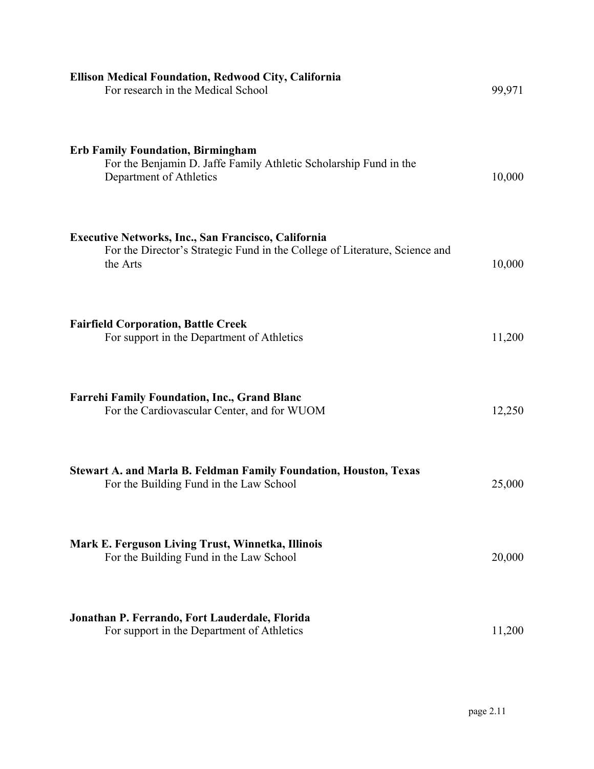| <b>Ellison Medical Foundation, Redwood City, California</b><br>For research in the Medical School                                                     | 99,971 |
|-------------------------------------------------------------------------------------------------------------------------------------------------------|--------|
| <b>Erb Family Foundation, Birmingham</b><br>For the Benjamin D. Jaffe Family Athletic Scholarship Fund in the<br>Department of Athletics              | 10,000 |
| <b>Executive Networks, Inc., San Francisco, California</b><br>For the Director's Strategic Fund in the College of Literature, Science and<br>the Arts | 10,000 |
| <b>Fairfield Corporation, Battle Creek</b><br>For support in the Department of Athletics                                                              | 11,200 |
| <b>Farrehi Family Foundation, Inc., Grand Blanc</b><br>For the Cardiovascular Center, and for WUOM                                                    | 12,250 |
| <b>Stewart A. and Marla B. Feldman Family Foundation, Houston, Texas</b><br>For the Building Fund in the Law School                                   | 25,000 |
| Mark E. Ferguson Living Trust, Winnetka, Illinois<br>For the Building Fund in the Law School                                                          | 20,000 |
| Jonathan P. Ferrando, Fort Lauderdale, Florida<br>For support in the Department of Athletics                                                          | 11,200 |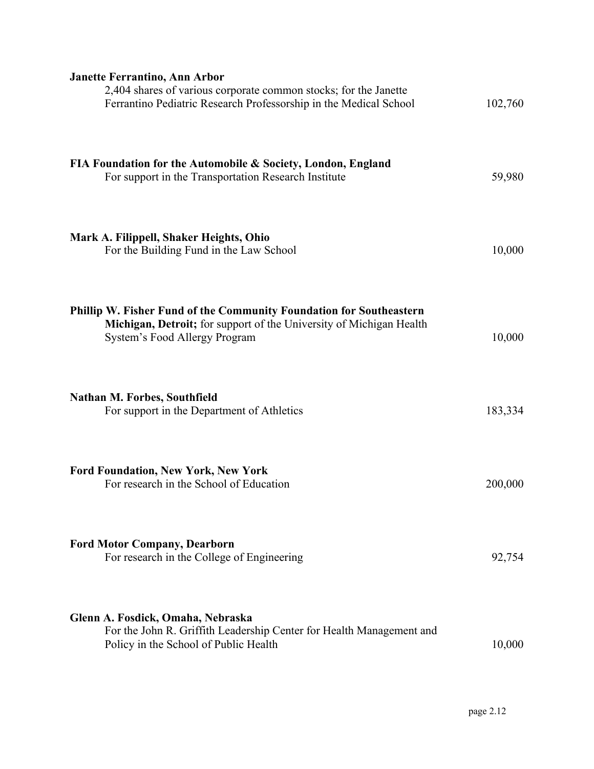| <b>Janette Ferrantino, Ann Arbor</b><br>2,404 shares of various corporate common stocks; for the Janette<br>Ferrantino Pediatric Research Professorship in the Medical School | 102,760 |
|-------------------------------------------------------------------------------------------------------------------------------------------------------------------------------|---------|
| FIA Foundation for the Automobile & Society, London, England<br>For support in the Transportation Research Institute                                                          | 59,980  |
| Mark A. Filippell, Shaker Heights, Ohio<br>For the Building Fund in the Law School                                                                                            | 10,000  |
| Phillip W. Fisher Fund of the Community Foundation for Southeastern<br>Michigan, Detroit; for support of the University of Michigan Health<br>System's Food Allergy Program   | 10,000  |
| Nathan M. Forbes, Southfield<br>For support in the Department of Athletics                                                                                                    | 183,334 |
| <b>Ford Foundation, New York, New York</b><br>For research in the School of Education                                                                                         | 200,000 |
| <b>Ford Motor Company, Dearborn</b><br>For research in the College of Engineering                                                                                             | 92,754  |
| Glenn A. Fosdick, Omaha, Nebraska<br>For the John R. Griffith Leadership Center for Health Management and<br>Policy in the School of Public Health                            | 10,000  |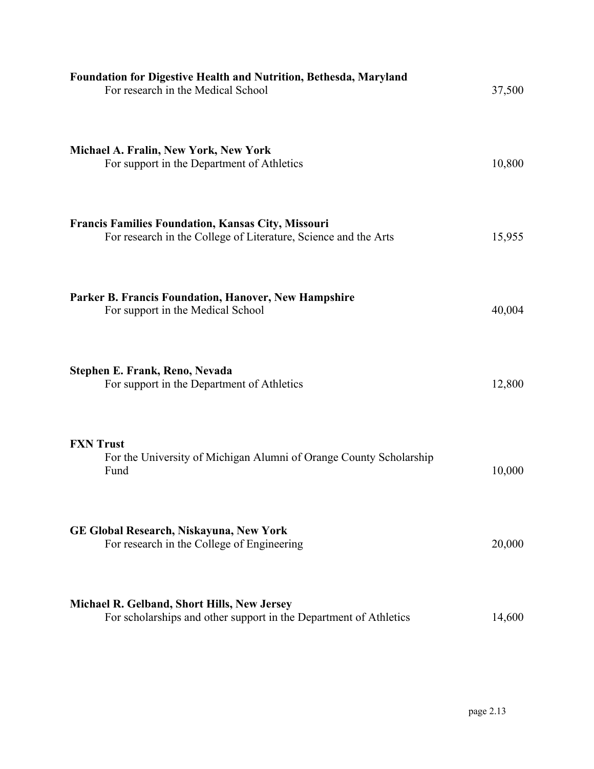| Foundation for Digestive Health and Nutrition, Bethesda, Maryland<br>For research in the Medical School                      | 37,500 |
|------------------------------------------------------------------------------------------------------------------------------|--------|
| Michael A. Fralin, New York, New York<br>For support in the Department of Athletics                                          | 10,800 |
| <b>Francis Families Foundation, Kansas City, Missouri</b><br>For research in the College of Literature, Science and the Arts | 15,955 |
| Parker B. Francis Foundation, Hanover, New Hampshire<br>For support in the Medical School                                    | 40,004 |
| Stephen E. Frank, Reno, Nevada<br>For support in the Department of Athletics                                                 | 12,800 |
| <b>FXN</b> Trust<br>For the University of Michigan Alumni of Orange County Scholarship<br>Fund                               | 10,000 |
| <b>GE Global Research, Niskayuna, New York</b><br>For research in the College of Engineering                                 | 20,000 |
| Michael R. Gelband, Short Hills, New Jersey<br>For scholarships and other support in the Department of Athletics             | 14,600 |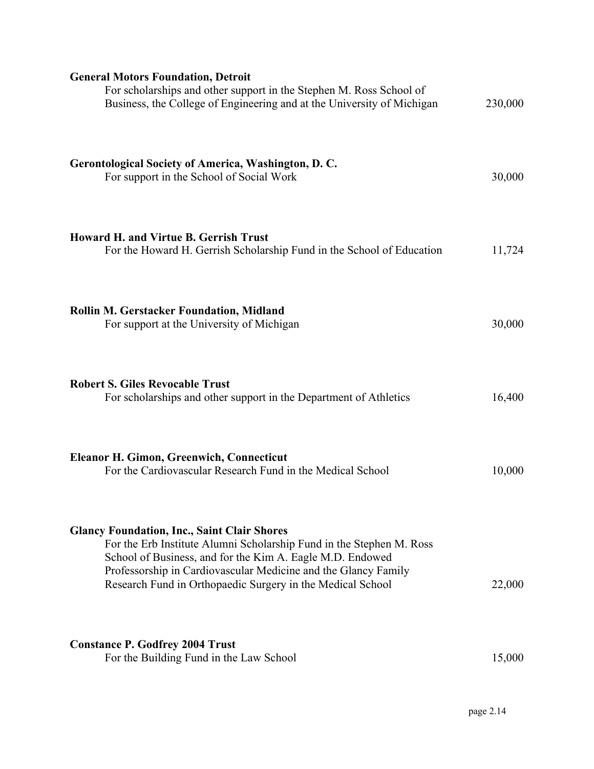| <b>General Motors Foundation, Detroit</b><br>For scholarships and other support in the Stephen M. Ross School of<br>Business, the College of Engineering and at the University of Michigan                                                                                                                              | 230,000 |
|-------------------------------------------------------------------------------------------------------------------------------------------------------------------------------------------------------------------------------------------------------------------------------------------------------------------------|---------|
| Gerontological Society of America, Washington, D.C.<br>For support in the School of Social Work                                                                                                                                                                                                                         | 30,000  |
| Howard H. and Virtue B. Gerrish Trust<br>For the Howard H. Gerrish Scholarship Fund in the School of Education                                                                                                                                                                                                          | 11,724  |
| <b>Rollin M. Gerstacker Foundation, Midland</b><br>For support at the University of Michigan                                                                                                                                                                                                                            | 30,000  |
| <b>Robert S. Giles Revocable Trust</b><br>For scholarships and other support in the Department of Athletics                                                                                                                                                                                                             | 16,400  |
| Eleanor H. Gimon, Greenwich, Connecticut<br>For the Cardiovascular Research Fund in the Medical School                                                                                                                                                                                                                  | 10,000  |
| <b>Glancy Foundation, Inc., Saint Clair Shores</b><br>For the Erb Institute Alumni Scholarship Fund in the Stephen M. Ross<br>School of Business, and for the Kim A. Eagle M.D. Endowed<br>Professorship in Cardiovascular Medicine and the Glancy Family<br>Research Fund in Orthopaedic Surgery in the Medical School | 22,000  |
| <b>Constance P. Godfrey 2004 Trust</b><br>For the Building Fund in the Law School                                                                                                                                                                                                                                       | 15,000  |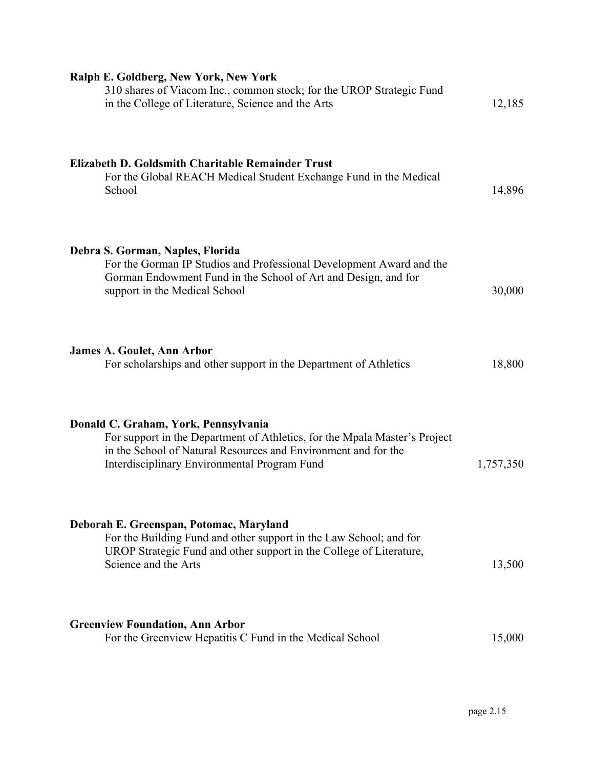| Ralph E. Goldberg, New York, New York<br>310 shares of Viacom Inc., common stock; for the UROP Strategic Fund<br>in the College of Literature, Science and the Arts                                                                  | 12,185    |
|--------------------------------------------------------------------------------------------------------------------------------------------------------------------------------------------------------------------------------------|-----------|
| Elizabeth D. Goldsmith Charitable Remainder Trust<br>For the Global REACH Medical Student Exchange Fund in the Medical<br>School                                                                                                     | 14,896    |
| Debra S. Gorman, Naples, Florida<br>For the Gorman IP Studios and Professional Development Award and the<br>Gorman Endowment Fund in the School of Art and Design, and for<br>support in the Medical School                          | 30,000    |
| <b>James A. Goulet, Ann Arbor</b><br>For scholarships and other support in the Department of Athletics                                                                                                                               | 18,800    |
| Donald C. Graham, York, Pennsylvania<br>For support in the Department of Athletics, for the Mpala Master's Project<br>in the School of Natural Resources and Environment and for the<br>Interdisciplinary Environmental Program Fund | 1,757,350 |
| Deborah E. Greenspan, Potomac, Maryland<br>For the Building Fund and other support in the Law School; and for<br>UROP Strategic Fund and other support in the College of Literature,<br>Science and the Arts                         | 13,500    |
| <b>Greenview Foundation, Ann Arbor</b><br>For the Greenview Hepatitis C Fund in the Medical School                                                                                                                                   | 15,000    |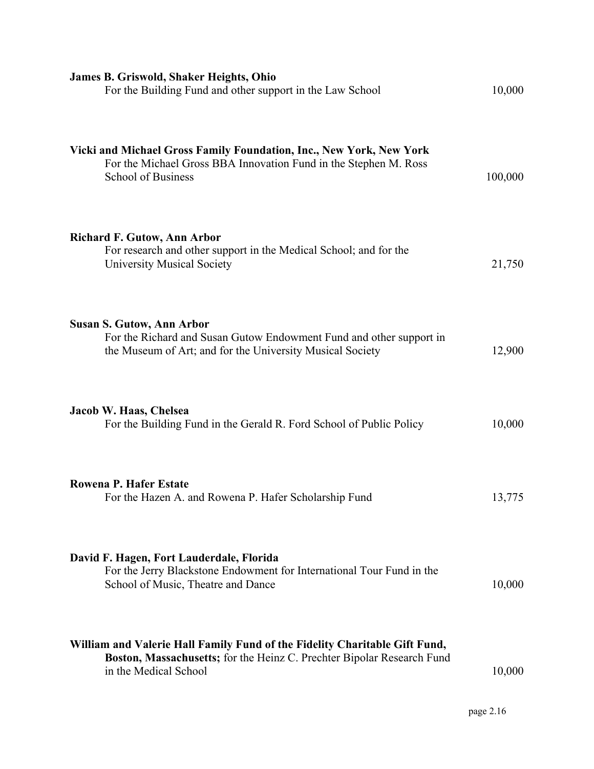| James B. Griswold, Shaker Heights, Ohio<br>For the Building Fund and other support in the Law School                                                                          | 10,000  |
|-------------------------------------------------------------------------------------------------------------------------------------------------------------------------------|---------|
| Vicki and Michael Gross Family Foundation, Inc., New York, New York<br>For the Michael Gross BBA Innovation Fund in the Stephen M. Ross<br>School of Business                 | 100,000 |
| <b>Richard F. Gutow, Ann Arbor</b><br>For research and other support in the Medical School; and for the<br><b>University Musical Society</b>                                  | 21,750  |
| <b>Susan S. Gutow, Ann Arbor</b><br>For the Richard and Susan Gutow Endowment Fund and other support in<br>the Museum of Art; and for the University Musical Society          | 12,900  |
| Jacob W. Haas, Chelsea<br>For the Building Fund in the Gerald R. Ford School of Public Policy                                                                                 | 10,000  |
| <b>Rowena P. Hafer Estate</b><br>For the Hazen A. and Rowena P. Hafer Scholarship Fund                                                                                        | 13,775  |
| David F. Hagen, Fort Lauderdale, Florida<br>For the Jerry Blackstone Endowment for International Tour Fund in the<br>School of Music, Theatre and Dance                       | 10,000  |
| William and Valerie Hall Family Fund of the Fidelity Charitable Gift Fund,<br>Boston, Massachusetts; for the Heinz C. Prechter Bipolar Research Fund<br>in the Medical School | 10,000  |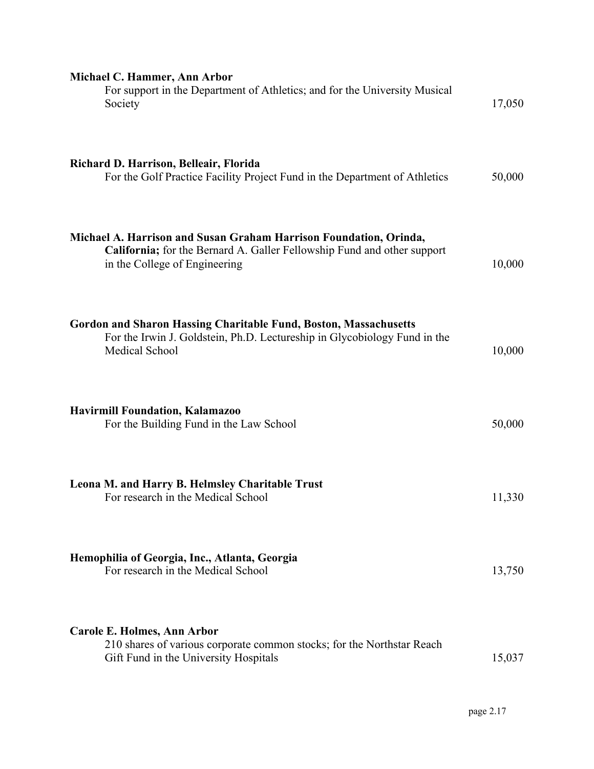| Michael C. Hammer, Ann Arbor<br>For support in the Department of Athletics; and for the University Musical<br>Society                                                                | 17,050 |
|--------------------------------------------------------------------------------------------------------------------------------------------------------------------------------------|--------|
| Richard D. Harrison, Belleair, Florida<br>For the Golf Practice Facility Project Fund in the Department of Athletics                                                                 | 50,000 |
| Michael A. Harrison and Susan Graham Harrison Foundation, Orinda,<br><b>California;</b> for the Bernard A. Galler Fellowship Fund and other support<br>in the College of Engineering | 10,000 |
| <b>Gordon and Sharon Hassing Charitable Fund, Boston, Massachusetts</b><br>For the Irwin J. Goldstein, Ph.D. Lectureship in Glycobiology Fund in the<br>Medical School               | 10,000 |
| <b>Havirmill Foundation, Kalamazoo</b><br>For the Building Fund in the Law School                                                                                                    | 50,000 |
| Leona M. and Harry B. Helmsley Charitable Trust<br>For research in the Medical School                                                                                                | 11,330 |
| Hemophilia of Georgia, Inc., Atlanta, Georgia<br>For research in the Medical School                                                                                                  | 13,750 |
| Carole E. Holmes, Ann Arbor<br>210 shares of various corporate common stocks; for the Northstar Reach<br>Gift Fund in the University Hospitals                                       | 15,037 |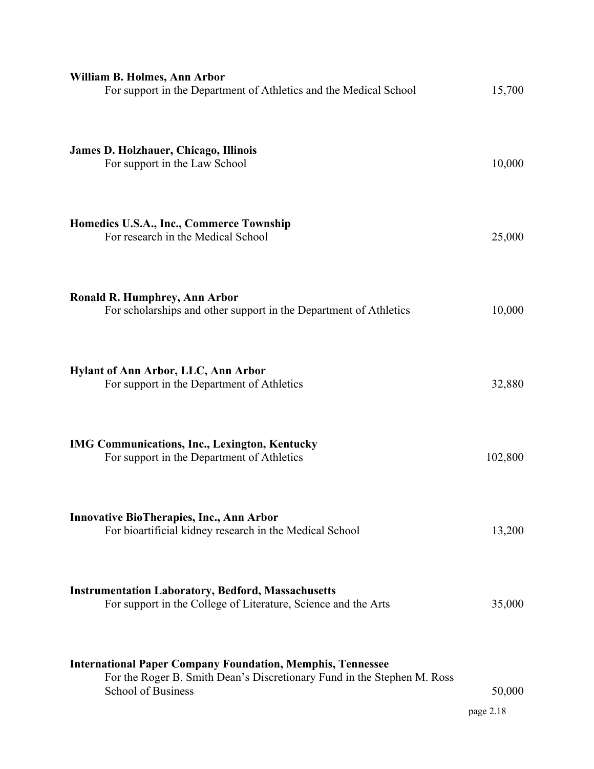| William B. Holmes, Ann Arbor<br>For support in the Department of Athletics and the Medical School                                                                         | 15,700              |
|---------------------------------------------------------------------------------------------------------------------------------------------------------------------------|---------------------|
| James D. Holzhauer, Chicago, Illinois<br>For support in the Law School                                                                                                    | 10,000              |
| Homedics U.S.A., Inc., Commerce Township<br>For research in the Medical School                                                                                            | 25,000              |
| <b>Ronald R. Humphrey, Ann Arbor</b><br>For scholarships and other support in the Department of Athletics                                                                 | 10,000              |
| <b>Hylant of Ann Arbor, LLC, Ann Arbor</b><br>For support in the Department of Athletics                                                                                  | 32,880              |
| <b>IMG Communications, Inc., Lexington, Kentucky</b><br>For support in the Department of Athletics                                                                        | 102,800             |
| <b>Innovative BioTherapies, Inc., Ann Arbor</b><br>For bioartificial kidney research in the Medical School                                                                | 13,200              |
| <b>Instrumentation Laboratory, Bedford, Massachusetts</b><br>For support in the College of Literature, Science and the Arts                                               | 35,000              |
| <b>International Paper Company Foundation, Memphis, Tennessee</b><br>For the Roger B. Smith Dean's Discretionary Fund in the Stephen M. Ross<br><b>School of Business</b> | 50,000<br>page 2.18 |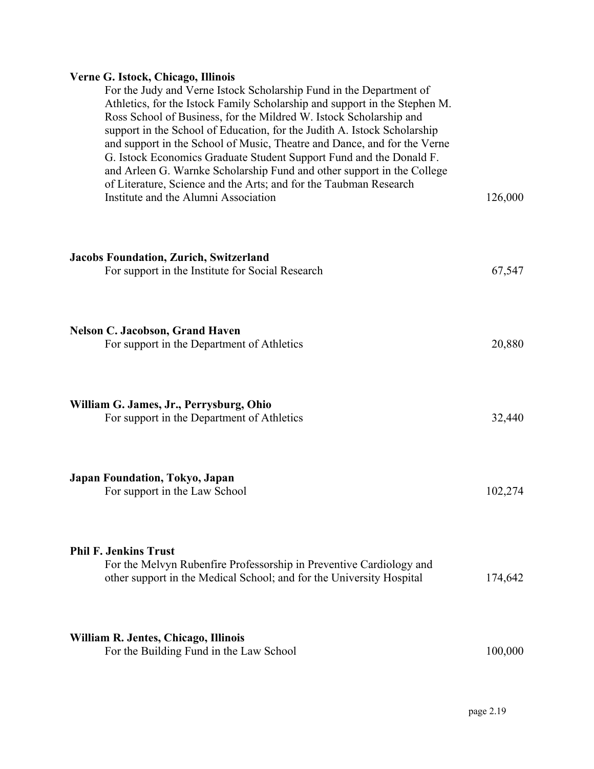### **Verne G. Istock, Chicago, Illinois**

For the Judy and Verne Istock Scholarship Fund in the Department of Athletics, for the Istock Family Scholarship and support in the Stephen M. Ross School of Business, for the Mildred W. Istock Scholarship and support in the School of Education, for the Judith A. Istock Scholarship and support in the School of Music, Theatre and Dance, and for the Verne G. Istock Economics Graduate Student Support Fund and the Donald F. and Arleen G. Warnke Scholarship Fund and other support in the College of Literature, Science and the Arts; and for the Taubman Research Institute and the Alumni Association 126,000 **Jacobs Foundation, Zurich, Switzerland**  For support in the Institute for Social Research 67,547 **Nelson C. Jacobson, Grand Haven**  For support in the Department of Athletics 20,880 **William G. James, Jr., Perrysburg, Ohio**  For support in the Department of Athletics 32,440 **Japan Foundation, Tokyo, Japan**  For support in the Law School 102,274 **Phil F. Jenkins Trust**  For the Melvyn Rubenfire Professorship in Preventive Cardiology and other support in the Medical School; and for the University Hospital 174,642

| William R. Jentes, Chicago, Illinois    |         |
|-----------------------------------------|---------|
| For the Building Fund in the Law School | 100,000 |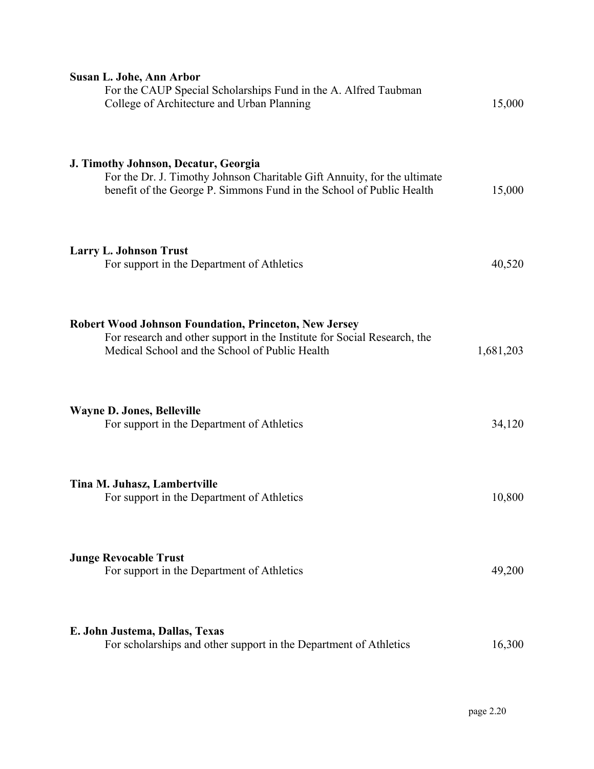| Susan L. Johe, Ann Arbor<br>For the CAUP Special Scholarships Fund in the A. Alfred Taubman<br>College of Architecture and Urban Planning                                                  | 15,000    |
|--------------------------------------------------------------------------------------------------------------------------------------------------------------------------------------------|-----------|
| J. Timothy Johnson, Decatur, Georgia<br>For the Dr. J. Timothy Johnson Charitable Gift Annuity, for the ultimate<br>benefit of the George P. Simmons Fund in the School of Public Health   | 15,000    |
| <b>Larry L. Johnson Trust</b><br>For support in the Department of Athletics                                                                                                                | 40,520    |
| <b>Robert Wood Johnson Foundation, Princeton, New Jersey</b><br>For research and other support in the Institute for Social Research, the<br>Medical School and the School of Public Health | 1,681,203 |
| <b>Wayne D. Jones, Belleville</b><br>For support in the Department of Athletics                                                                                                            | 34,120    |
| Tina M. Juhasz, Lambertville<br>For support in the Department of Athletics                                                                                                                 | 10,800    |
| <b>Junge Revocable Trust</b><br>For support in the Department of Athletics                                                                                                                 | 49,200    |
| E. John Justema, Dallas, Texas<br>For scholarships and other support in the Department of Athletics                                                                                        | 16,300    |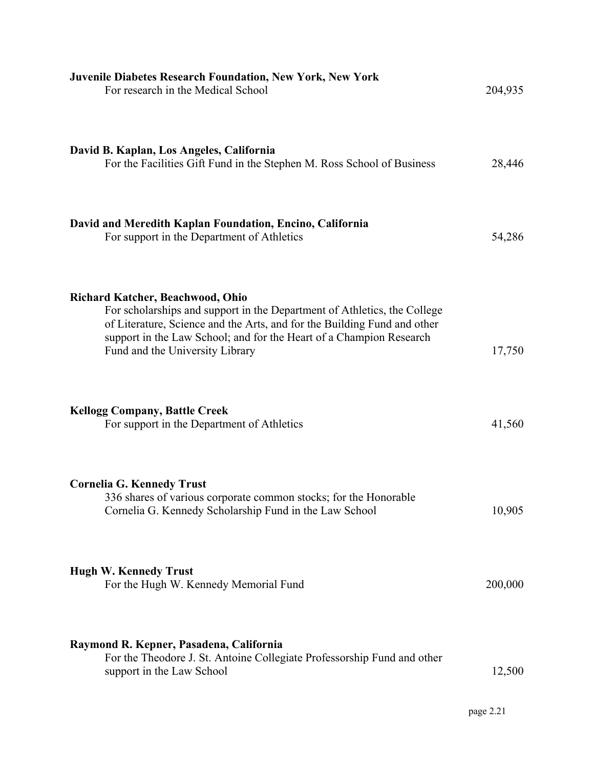| <b>Juvenile Diabetes Research Foundation, New York, New York</b><br>For research in the Medical School                                                                                                                                                                                                    | 204,935 |
|-----------------------------------------------------------------------------------------------------------------------------------------------------------------------------------------------------------------------------------------------------------------------------------------------------------|---------|
| David B. Kaplan, Los Angeles, California<br>For the Facilities Gift Fund in the Stephen M. Ross School of Business                                                                                                                                                                                        | 28,446  |
| David and Meredith Kaplan Foundation, Encino, California<br>For support in the Department of Athletics                                                                                                                                                                                                    | 54,286  |
| <b>Richard Katcher, Beachwood, Ohio</b><br>For scholarships and support in the Department of Athletics, the College<br>of Literature, Science and the Arts, and for the Building Fund and other<br>support in the Law School; and for the Heart of a Champion Research<br>Fund and the University Library | 17,750  |
| <b>Kellogg Company, Battle Creek</b><br>For support in the Department of Athletics                                                                                                                                                                                                                        | 41,560  |
| <b>Cornelia G. Kennedy Trust</b><br>336 shares of various corporate common stocks; for the Honorable<br>Cornelia G. Kennedy Scholarship Fund in the Law School                                                                                                                                            | 10,905  |
| <b>Hugh W. Kennedy Trust</b><br>For the Hugh W. Kennedy Memorial Fund                                                                                                                                                                                                                                     | 200,000 |
| Raymond R. Kepner, Pasadena, California<br>For the Theodore J. St. Antoine Collegiate Professorship Fund and other<br>support in the Law School                                                                                                                                                           | 12,500  |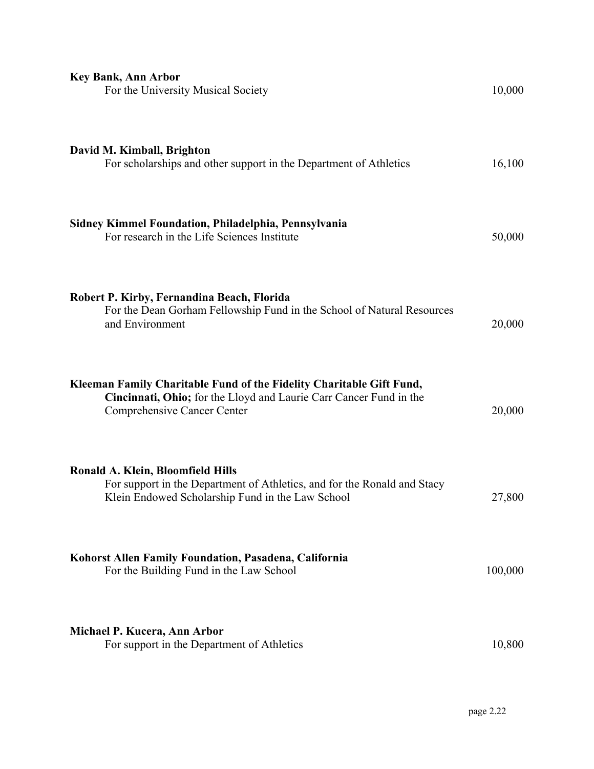| <b>Key Bank, Ann Arbor</b><br>For the University Musical Society                                                                                                          | 10,000  |
|---------------------------------------------------------------------------------------------------------------------------------------------------------------------------|---------|
| David M. Kimball, Brighton<br>For scholarships and other support in the Department of Athletics                                                                           | 16,100  |
| Sidney Kimmel Foundation, Philadelphia, Pennsylvania<br>For research in the Life Sciences Institute                                                                       | 50,000  |
| Robert P. Kirby, Fernandina Beach, Florida<br>For the Dean Gorham Fellowship Fund in the School of Natural Resources<br>and Environment                                   | 20,000  |
| Kleeman Family Charitable Fund of the Fidelity Charitable Gift Fund,<br>Cincinnati, Ohio; for the Lloyd and Laurie Carr Cancer Fund in the<br>Comprehensive Cancer Center | 20,000  |
| Ronald A. Klein, Bloomfield Hills<br>For support in the Department of Athletics, and for the Ronald and Stacy<br>Klein Endowed Scholarship Fund in the Law School         | 27,800  |
| Kohorst Allen Family Foundation, Pasadena, California<br>For the Building Fund in the Law School                                                                          | 100,000 |
| Michael P. Kucera, Ann Arbor<br>For support in the Department of Athletics                                                                                                | 10,800  |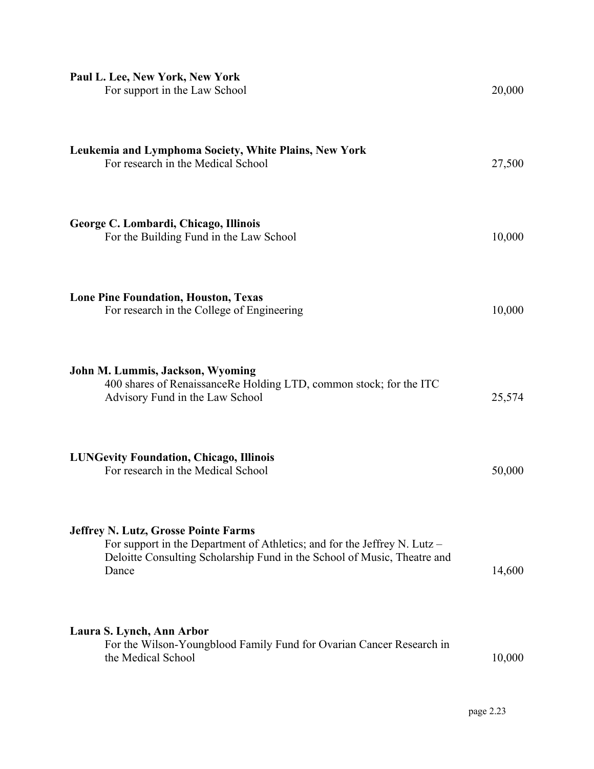| Paul L. Lee, New York, New York<br>For support in the Law School                                                                                                                                              | 20,000 |
|---------------------------------------------------------------------------------------------------------------------------------------------------------------------------------------------------------------|--------|
| Leukemia and Lymphoma Society, White Plains, New York<br>For research in the Medical School                                                                                                                   | 27,500 |
| George C. Lombardi, Chicago, Illinois<br>For the Building Fund in the Law School                                                                                                                              | 10,000 |
| <b>Lone Pine Foundation, Houston, Texas</b><br>For research in the College of Engineering                                                                                                                     | 10,000 |
| John M. Lummis, Jackson, Wyoming<br>400 shares of RenaissanceRe Holding LTD, common stock; for the ITC<br>Advisory Fund in the Law School                                                                     | 25,574 |
| <b>LUNGevity Foundation, Chicago, Illinois</b><br>For research in the Medical School                                                                                                                          | 50,000 |
| <b>Jeffrey N. Lutz, Grosse Pointe Farms</b><br>For support in the Department of Athletics; and for the Jeffrey N. Lutz –<br>Deloitte Consulting Scholarship Fund in the School of Music, Theatre and<br>Dance | 14,600 |
| Laura S. Lynch, Ann Arbor<br>For the Wilson-Youngblood Family Fund for Ovarian Cancer Research in<br>the Medical School                                                                                       | 10,000 |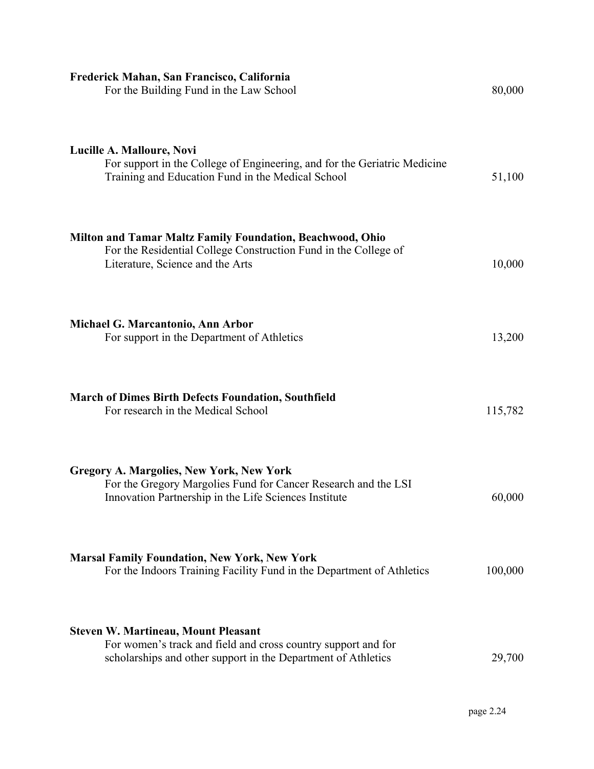| Frederick Mahan, San Francisco, California<br>For the Building Fund in the Law School                                                                                        | 80,000  |
|------------------------------------------------------------------------------------------------------------------------------------------------------------------------------|---------|
| Lucille A. Malloure, Novi<br>For support in the College of Engineering, and for the Geriatric Medicine<br>Training and Education Fund in the Medical School                  | 51,100  |
| Milton and Tamar Maltz Family Foundation, Beachwood, Ohio<br>For the Residential College Construction Fund in the College of<br>Literature, Science and the Arts             | 10,000  |
| Michael G. Marcantonio, Ann Arbor<br>For support in the Department of Athletics                                                                                              | 13,200  |
| <b>March of Dimes Birth Defects Foundation, Southfield</b><br>For research in the Medical School                                                                             | 115,782 |
| <b>Gregory A. Margolies, New York, New York</b><br>For the Gregory Margolies Fund for Cancer Research and the LSI<br>Innovation Partnership in the Life Sciences Institute   | 60,000  |
| <b>Marsal Family Foundation, New York, New York</b><br>For the Indoors Training Facility Fund in the Department of Athletics                                                 | 100,000 |
| <b>Steven W. Martineau, Mount Pleasant</b><br>For women's track and field and cross country support and for<br>scholarships and other support in the Department of Athletics | 29,700  |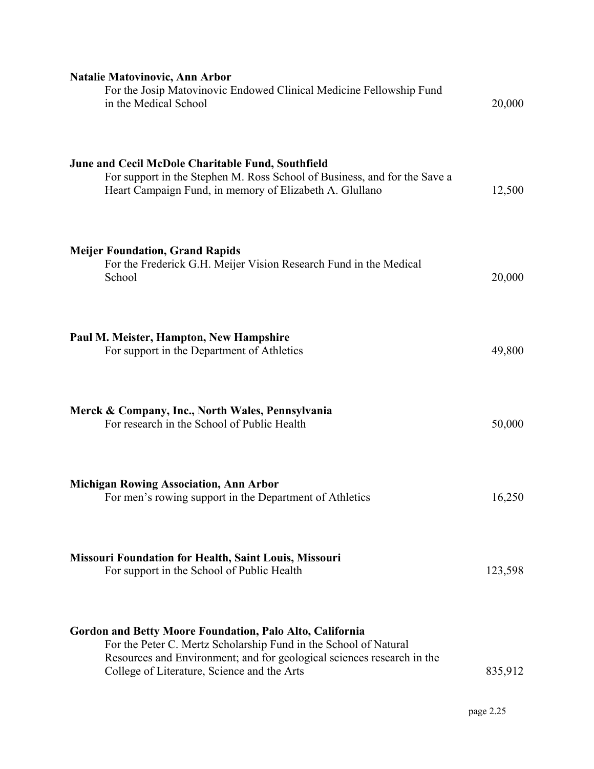| <b>Natalie Matovinovic, Ann Arbor</b><br>For the Josip Matovinovic Endowed Clinical Medicine Fellowship Fund<br>in the Medical School                                                                                                                 | 20,000  |
|-------------------------------------------------------------------------------------------------------------------------------------------------------------------------------------------------------------------------------------------------------|---------|
| June and Cecil McDole Charitable Fund, Southfield<br>For support in the Stephen M. Ross School of Business, and for the Save a<br>Heart Campaign Fund, in memory of Elizabeth A. Glullano                                                             | 12,500  |
| <b>Meijer Foundation, Grand Rapids</b><br>For the Frederick G.H. Meijer Vision Research Fund in the Medical<br>School                                                                                                                                 | 20,000  |
| Paul M. Meister, Hampton, New Hampshire<br>For support in the Department of Athletics                                                                                                                                                                 | 49,800  |
| Merck & Company, Inc., North Wales, Pennsylvania<br>For research in the School of Public Health                                                                                                                                                       | 50,000  |
| <b>Michigan Rowing Association, Ann Arbor</b><br>For men's rowing support in the Department of Athletics                                                                                                                                              | 16,250  |
| <b>Missouri Foundation for Health, Saint Louis, Missouri</b><br>For support in the School of Public Health                                                                                                                                            | 123,598 |
| Gordon and Betty Moore Foundation, Palo Alto, California<br>For the Peter C. Mertz Scholarship Fund in the School of Natural<br>Resources and Environment; and for geological sciences research in the<br>College of Literature, Science and the Arts | 835,912 |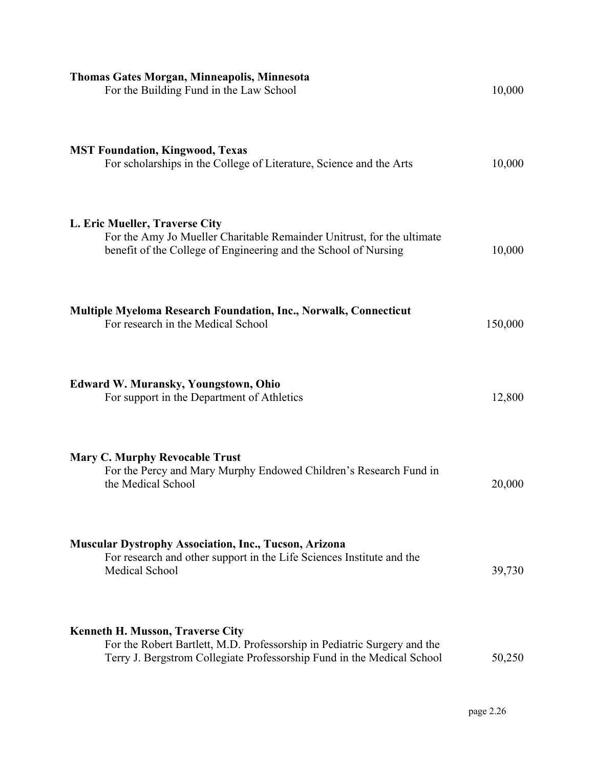| <b>Thomas Gates Morgan, Minneapolis, Minnesota</b><br>For the Building Fund in the Law School                                                                                                 | 10,000  |
|-----------------------------------------------------------------------------------------------------------------------------------------------------------------------------------------------|---------|
| <b>MST Foundation, Kingwood, Texas</b><br>For scholarships in the College of Literature, Science and the Arts                                                                                 | 10,000  |
| L. Eric Mueller, Traverse City<br>For the Amy Jo Mueller Charitable Remainder Unitrust, for the ultimate<br>benefit of the College of Engineering and the School of Nursing                   | 10,000  |
| <b>Multiple Myeloma Research Foundation, Inc., Norwalk, Connecticut</b><br>For research in the Medical School                                                                                 | 150,000 |
| <b>Edward W. Muransky, Youngstown, Ohio</b><br>For support in the Department of Athletics                                                                                                     | 12,800  |
| <b>Mary C. Murphy Revocable Trust</b><br>For the Percy and Mary Murphy Endowed Children's Research Fund in<br>the Medical School                                                              | 20,000  |
| <b>Muscular Dystrophy Association, Inc., Tucson, Arizona</b><br>For research and other support in the Life Sciences Institute and the<br>Medical School                                       | 39,730  |
| <b>Kenneth H. Musson, Traverse City</b><br>For the Robert Bartlett, M.D. Professorship in Pediatric Surgery and the<br>Terry J. Bergstrom Collegiate Professorship Fund in the Medical School | 50,250  |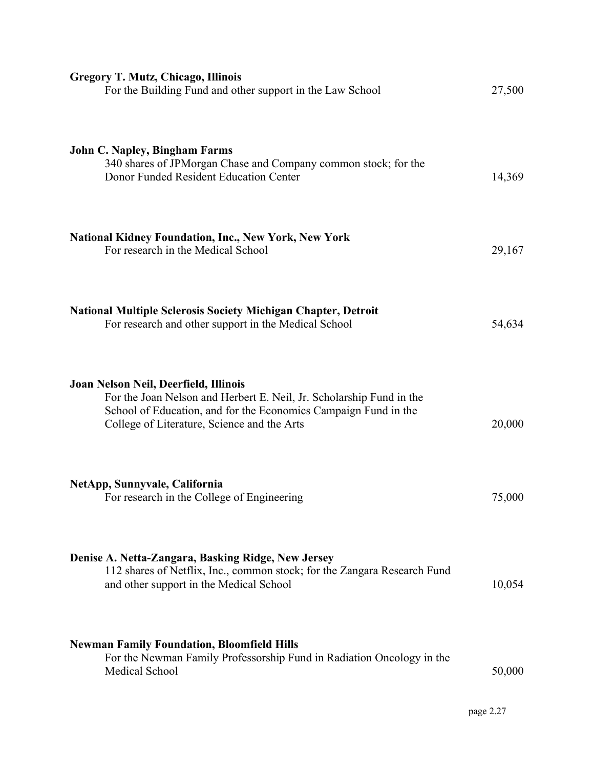| <b>Gregory T. Mutz, Chicago, Illinois</b><br>For the Building Fund and other support in the Law School                                                                                                                          | 27,500 |
|---------------------------------------------------------------------------------------------------------------------------------------------------------------------------------------------------------------------------------|--------|
| <b>John C. Napley, Bingham Farms</b><br>340 shares of JPM organ Chase and Company common stock; for the<br>Donor Funded Resident Education Center                                                                               | 14,369 |
| <b>National Kidney Foundation, Inc., New York, New York</b><br>For research in the Medical School                                                                                                                               | 29,167 |
| <b>National Multiple Sclerosis Society Michigan Chapter, Detroit</b><br>For research and other support in the Medical School                                                                                                    | 54,634 |
| Joan Nelson Neil, Deerfield, Illinois<br>For the Joan Nelson and Herbert E. Neil, Jr. Scholarship Fund in the<br>School of Education, and for the Economics Campaign Fund in the<br>College of Literature, Science and the Arts | 20,000 |
| NetApp, Sunnyvale, California<br>For research in the College of Engineering                                                                                                                                                     | 75,000 |
| Denise A. Netta-Zangara, Basking Ridge, New Jersey<br>112 shares of Netflix, Inc., common stock; for the Zangara Research Fund<br>and other support in the Medical School                                                       | 10,054 |
| <b>Newman Family Foundation, Bloomfield Hills</b><br>For the Newman Family Professorship Fund in Radiation Oncology in the<br><b>Medical School</b>                                                                             | 50,000 |

page 2.27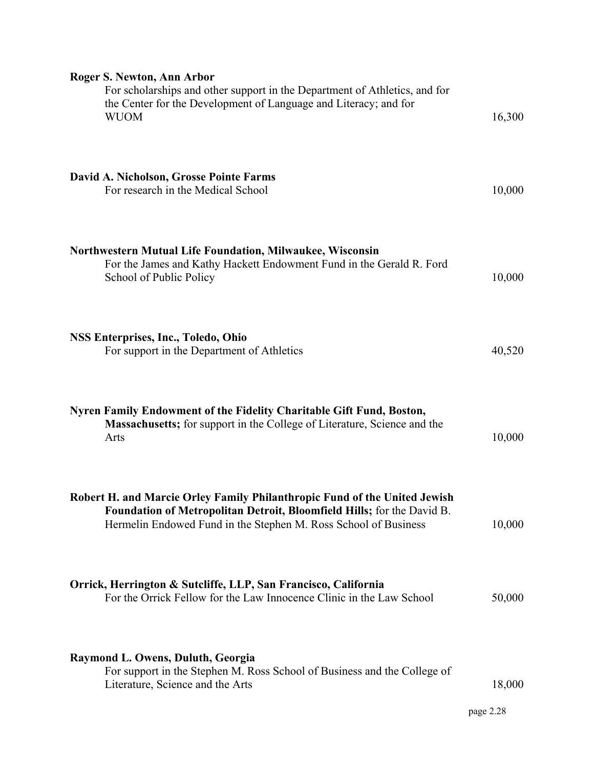| Roger S. Newton, Ann Arbor<br>For scholarships and other support in the Department of Athletics, and for<br>the Center for the Development of Language and Literacy; and for<br><b>WUOM</b>                            | 16,300    |
|------------------------------------------------------------------------------------------------------------------------------------------------------------------------------------------------------------------------|-----------|
| David A. Nicholson, Grosse Pointe Farms<br>For research in the Medical School                                                                                                                                          | 10,000    |
| <b>Northwestern Mutual Life Foundation, Milwaukee, Wisconsin</b><br>For the James and Kathy Hackett Endowment Fund in the Gerald R. Ford<br>School of Public Policy                                                    | 10,000    |
| <b>NSS Enterprises, Inc., Toledo, Ohio</b><br>For support in the Department of Athletics                                                                                                                               | 40,520    |
| Nyren Family Endowment of the Fidelity Charitable Gift Fund, Boston,<br><b>Massachusetts;</b> for support in the College of Literature, Science and the<br>Arts                                                        | 10,000    |
| Robert H. and Marcie Orley Family Philanthropic Fund of the United Jewish<br>Foundation of Metropolitan Detroit, Bloomfield Hills; for the David B.<br>Hermelin Endowed Fund in the Stephen M. Ross School of Business | 10,000    |
| Orrick, Herrington & Sutcliffe, LLP, San Francisco, California<br>For the Orrick Fellow for the Law Innocence Clinic in the Law School                                                                                 | 50,000    |
| <b>Raymond L. Owens, Duluth, Georgia</b><br>For support in the Stephen M. Ross School of Business and the College of<br>Literature, Science and the Arts                                                               | 18,000    |
|                                                                                                                                                                                                                        | page 2.28 |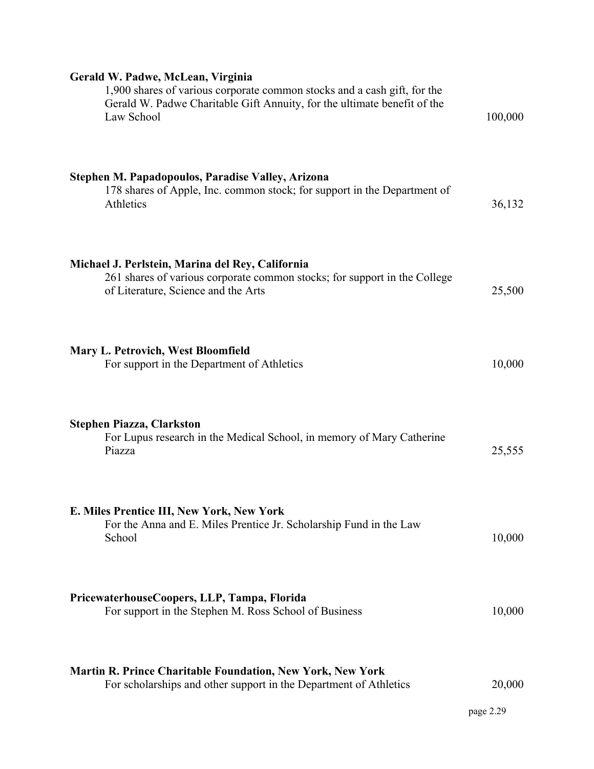| Gerald W. Padwe, McLean, Virginia<br>1,900 shares of various corporate common stocks and a cash gift, for the<br>Gerald W. Padwe Charitable Gift Annuity, for the ultimate benefit of the<br>Law School | 100,000             |
|---------------------------------------------------------------------------------------------------------------------------------------------------------------------------------------------------------|---------------------|
| Stephen M. Papadopoulos, Paradise Valley, Arizona<br>178 shares of Apple, Inc. common stock; for support in the Department of<br>Athletics                                                              | 36,132              |
| Michael J. Perlstein, Marina del Rey, California<br>261 shares of various corporate common stocks; for support in the College<br>of Literature, Science and the Arts                                    | 25,500              |
| <b>Mary L. Petrovich, West Bloomfield</b><br>For support in the Department of Athletics                                                                                                                 | 10,000              |
| <b>Stephen Piazza, Clarkston</b><br>For Lupus research in the Medical School, in memory of Mary Catherine<br>Piazza                                                                                     | 25,555              |
| E. Miles Prentice III, New York, New York<br>For the Anna and E. Miles Prentice Jr. Scholarship Fund in the Law<br>School                                                                               | 10,000              |
| PricewaterhouseCoopers, LLP, Tampa, Florida<br>For support in the Stephen M. Ross School of Business                                                                                                    | 10,000              |
| <b>Martin R. Prince Charitable Foundation, New York, New York</b><br>For scholarships and other support in the Department of Athletics                                                                  | 20,000<br>page 2.29 |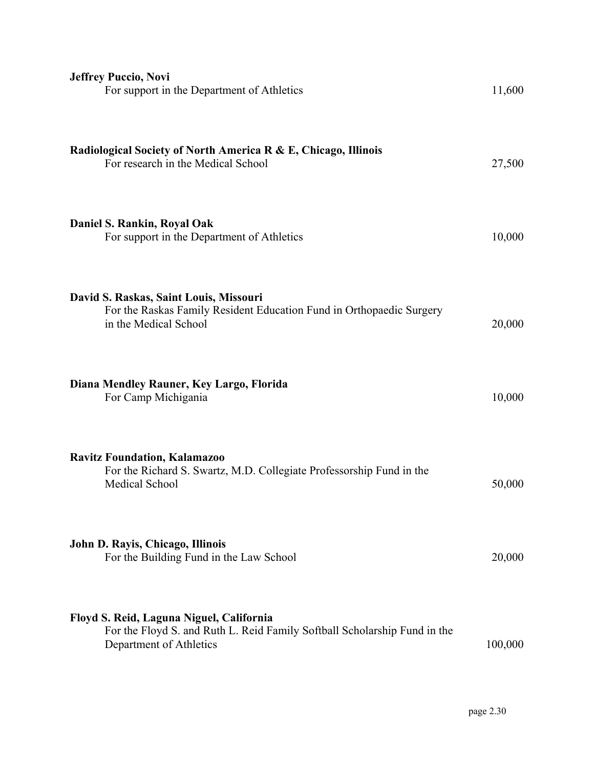| <b>Jeffrey Puccio, Novi</b><br>For support in the Department of Athletics                                                                        | 11,600  |
|--------------------------------------------------------------------------------------------------------------------------------------------------|---------|
| Radiological Society of North America R & E, Chicago, Illinois<br>For research in the Medical School                                             | 27,500  |
| Daniel S. Rankin, Royal Oak<br>For support in the Department of Athletics                                                                        | 10,000  |
| David S. Raskas, Saint Louis, Missouri<br>For the Raskas Family Resident Education Fund in Orthopaedic Surgery<br>in the Medical School          | 20,000  |
| Diana Mendley Rauner, Key Largo, Florida<br>For Camp Michigania                                                                                  | 10,000  |
| <b>Ravitz Foundation, Kalamazoo</b><br>For the Richard S. Swartz, M.D. Collegiate Professorship Fund in the<br>Medical School                    | 50,000  |
| John D. Rayis, Chicago, Illinois<br>For the Building Fund in the Law School                                                                      | 20,000  |
| Floyd S. Reid, Laguna Niguel, California<br>For the Floyd S. and Ruth L. Reid Family Softball Scholarship Fund in the<br>Department of Athletics | 100,000 |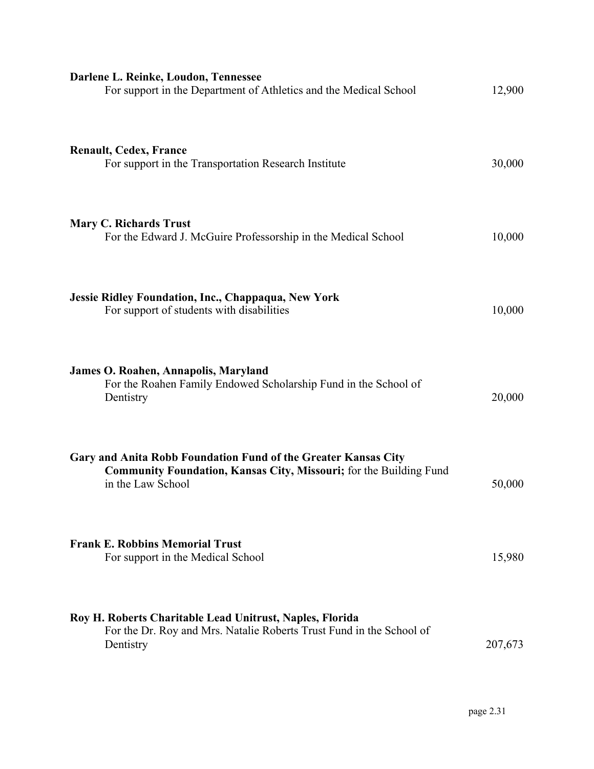| Darlene L. Reinke, Loudon, Tennessee<br>For support in the Department of Athletics and the Medical School                                                        | 12,900  |
|------------------------------------------------------------------------------------------------------------------------------------------------------------------|---------|
| <b>Renault, Cedex, France</b><br>For support in the Transportation Research Institute                                                                            | 30,000  |
| <b>Mary C. Richards Trust</b><br>For the Edward J. McGuire Professorship in the Medical School                                                                   | 10,000  |
| Jessie Ridley Foundation, Inc., Chappaqua, New York<br>For support of students with disabilities                                                                 | 10,000  |
| <b>James O. Roahen, Annapolis, Maryland</b><br>For the Roahen Family Endowed Scholarship Fund in the School of<br>Dentistry                                      | 20,000  |
| Gary and Anita Robb Foundation Fund of the Greater Kansas City<br><b>Community Foundation, Kansas City, Missouri;</b> for the Building Fund<br>in the Law School | 50,000  |
| <b>Frank E. Robbins Memorial Trust</b><br>For support in the Medical School                                                                                      | 15,980  |
| Roy H. Roberts Charitable Lead Unitrust, Naples, Florida<br>For the Dr. Roy and Mrs. Natalie Roberts Trust Fund in the School of<br>Dentistry                    | 207,673 |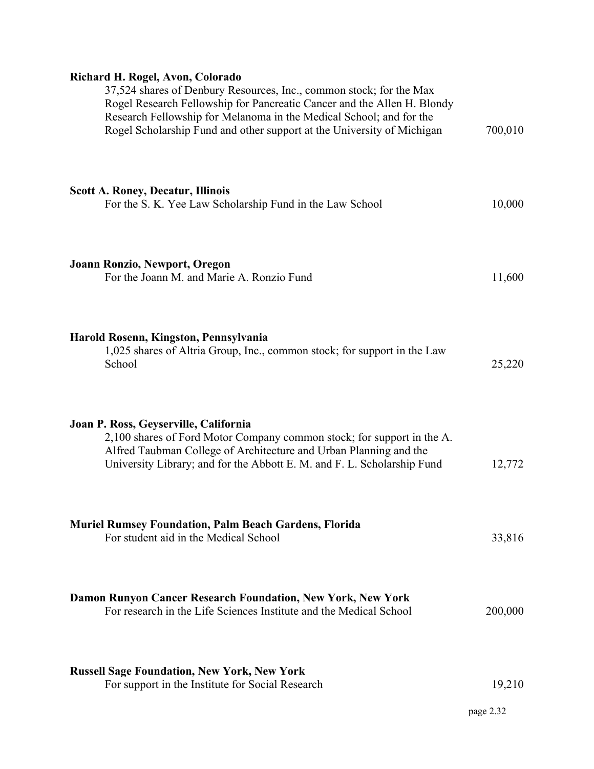# **Richard H. Rogel, Avon, Colorado**

| 37,524 shares of Denbury Resources, Inc., common stock; for the Max<br>Rogel Research Fellowship for Pancreatic Cancer and the Allen H. Blondy<br>Research Fellowship for Melanoma in the Medical School; and for the<br>Rogel Scholarship Fund and other support at the University of Michigan | 700,010 |
|-------------------------------------------------------------------------------------------------------------------------------------------------------------------------------------------------------------------------------------------------------------------------------------------------|---------|
| <b>Scott A. Roney, Decatur, Illinois</b><br>For the S. K. Yee Law Scholarship Fund in the Law School                                                                                                                                                                                            | 10,000  |
| Joann Ronzio, Newport, Oregon<br>For the Joann M. and Marie A. Ronzio Fund                                                                                                                                                                                                                      | 11,600  |
| Harold Rosenn, Kingston, Pennsylvania<br>1,025 shares of Altria Group, Inc., common stock; for support in the Law<br>School                                                                                                                                                                     | 25,220  |
| Joan P. Ross, Geyserville, California<br>2,100 shares of Ford Motor Company common stock; for support in the A.<br>Alfred Taubman College of Architecture and Urban Planning and the<br>University Library; and for the Abbott E. M. and F. L. Scholarship Fund                                 | 12,772  |
| <b>Muriel Rumsey Foundation, Palm Beach Gardens, Florida</b><br>For student aid in the Medical School                                                                                                                                                                                           | 33,816  |
| Damon Runyon Cancer Research Foundation, New York, New York<br>For research in the Life Sciences Institute and the Medical School                                                                                                                                                               | 200,000 |
| <b>Russell Sage Foundation, New York, New York</b><br>For support in the Institute for Social Research                                                                                                                                                                                          | 19,210  |
|                                                                                                                                                                                                                                                                                                 |         |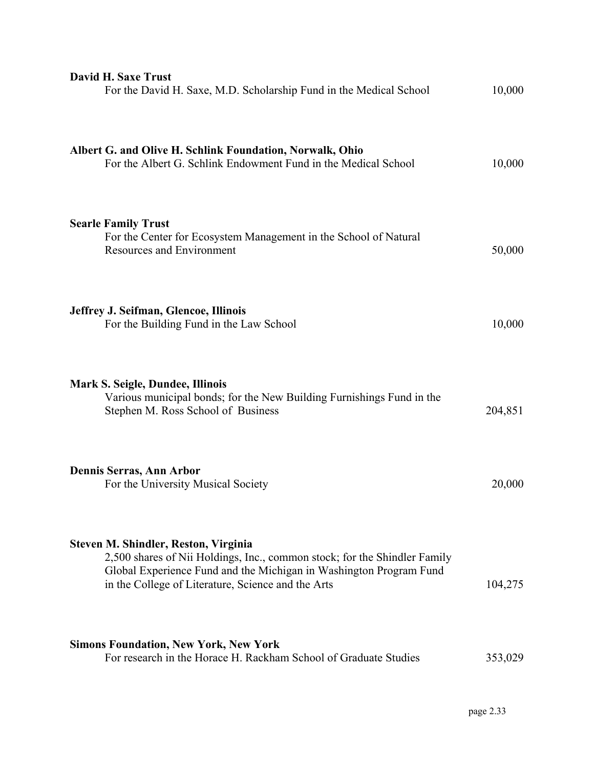| <b>David H. Saxe Trust</b><br>For the David H. Saxe, M.D. Scholarship Fund in the Medical School                                                                                                                                              | 10,000  |
|-----------------------------------------------------------------------------------------------------------------------------------------------------------------------------------------------------------------------------------------------|---------|
| Albert G. and Olive H. Schlink Foundation, Norwalk, Ohio<br>For the Albert G. Schlink Endowment Fund in the Medical School                                                                                                                    | 10,000  |
| <b>Searle Family Trust</b><br>For the Center for Ecosystem Management in the School of Natural<br><b>Resources and Environment</b>                                                                                                            | 50,000  |
| Jeffrey J. Seifman, Glencoe, Illinois<br>For the Building Fund in the Law School                                                                                                                                                              | 10,000  |
| Mark S. Seigle, Dundee, Illinois<br>Various municipal bonds; for the New Building Furnishings Fund in the<br>Stephen M. Ross School of Business                                                                                               | 204,851 |
| Dennis Serras, Ann Arbor<br>For the University Musical Society                                                                                                                                                                                | 20,000  |
| Steven M. Shindler, Reston, Virginia<br>2,500 shares of Nii Holdings, Inc., common stock; for the Shindler Family<br>Global Experience Fund and the Michigan in Washington Program Fund<br>in the College of Literature, Science and the Arts | 104,275 |
| <b>Simons Foundation, New York, New York</b><br>For research in the Horace H. Rackham School of Graduate Studies                                                                                                                              | 353,029 |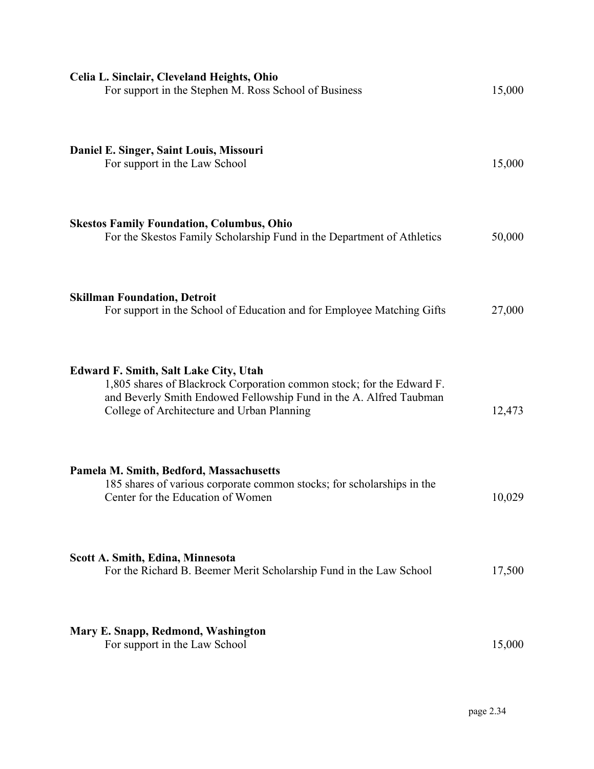| Celia L. Sinclair, Cleveland Heights, Ohio<br>For support in the Stephen M. Ross School of Business                                                                                                                                       | 15,000 |
|-------------------------------------------------------------------------------------------------------------------------------------------------------------------------------------------------------------------------------------------|--------|
| Daniel E. Singer, Saint Louis, Missouri<br>For support in the Law School                                                                                                                                                                  | 15,000 |
| <b>Skestos Family Foundation, Columbus, Ohio</b><br>For the Skestos Family Scholarship Fund in the Department of Athletics                                                                                                                | 50,000 |
| <b>Skillman Foundation, Detroit</b><br>For support in the School of Education and for Employee Matching Gifts                                                                                                                             | 27,000 |
| <b>Edward F. Smith, Salt Lake City, Utah</b><br>1,805 shares of Blackrock Corporation common stock; for the Edward F.<br>and Beverly Smith Endowed Fellowship Fund in the A. Alfred Taubman<br>College of Architecture and Urban Planning | 12,473 |
| Pamela M. Smith, Bedford, Massachusetts<br>185 shares of various corporate common stocks; for scholarships in the<br>Center for the Education of Women                                                                                    | 10,029 |
| Scott A. Smith, Edina, Minnesota<br>For the Richard B. Beemer Merit Scholarship Fund in the Law School                                                                                                                                    | 17,500 |
| Mary E. Snapp, Redmond, Washington<br>For support in the Law School                                                                                                                                                                       | 15,000 |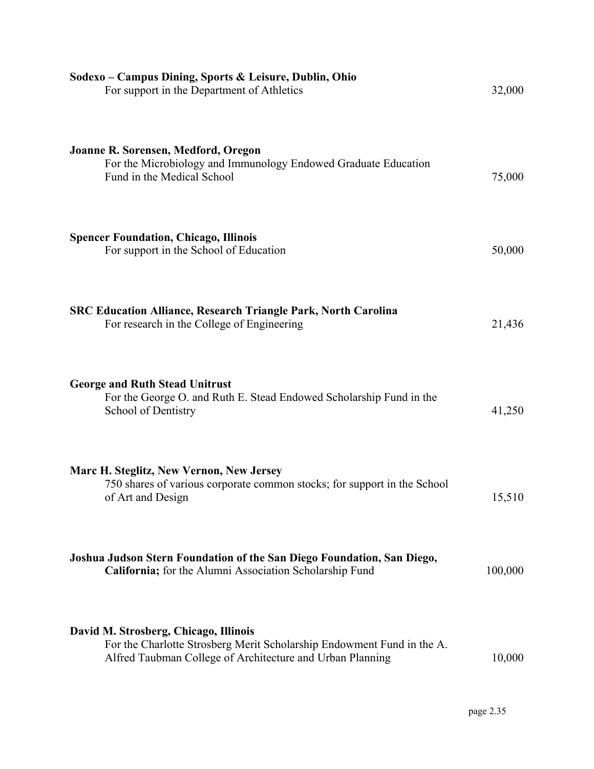| Sodexo - Campus Dining, Sports & Leisure, Dublin, Ohio<br>For support in the Department of Athletics                                                                         | 32,000  |
|------------------------------------------------------------------------------------------------------------------------------------------------------------------------------|---------|
| Joanne R. Sorensen, Medford, Oregon<br>For the Microbiology and Immunology Endowed Graduate Education<br>Fund in the Medical School                                          | 75,000  |
| <b>Spencer Foundation, Chicago, Illinois</b><br>For support in the School of Education                                                                                       | 50,000  |
| <b>SRC Education Alliance, Research Triangle Park, North Carolina</b><br>For research in the College of Engineering                                                          | 21,436  |
| <b>George and Ruth Stead Unitrust</b><br>For the George O. and Ruth E. Stead Endowed Scholarship Fund in the<br>School of Dentistry                                          | 41,250  |
| Marc H. Steglitz, New Vernon, New Jersey<br>750 shares of various corporate common stocks; for support in the School<br>of Art and Design                                    | 15,510  |
| Joshua Judson Stern Foundation of the San Diego Foundation, San Diego,<br>California; for the Alumni Association Scholarship Fund                                            | 100,000 |
| David M. Strosberg, Chicago, Illinois<br>For the Charlotte Strosberg Merit Scholarship Endowment Fund in the A.<br>Alfred Taubman College of Architecture and Urban Planning | 10,000  |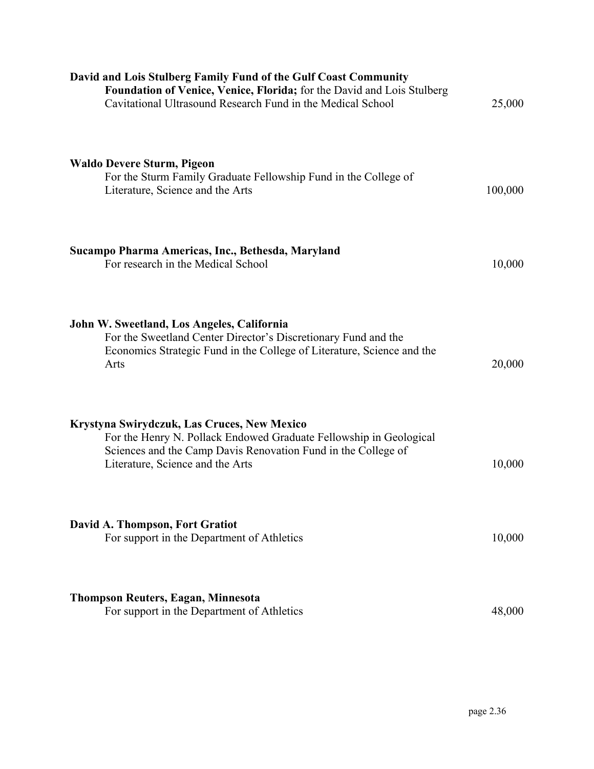| David and Lois Stulberg Family Fund of the Gulf Coast Community<br>Foundation of Venice, Venice, Florida; for the David and Lois Stulberg<br>Cavitational Ultrasound Research Fund in the Medical School               | 25,000  |
|------------------------------------------------------------------------------------------------------------------------------------------------------------------------------------------------------------------------|---------|
| <b>Waldo Devere Sturm, Pigeon</b><br>For the Sturm Family Graduate Fellowship Fund in the College of<br>Literature, Science and the Arts                                                                               | 100,000 |
| Sucampo Pharma Americas, Inc., Bethesda, Maryland<br>For research in the Medical School                                                                                                                                | 10,000  |
| John W. Sweetland, Los Angeles, California<br>For the Sweetland Center Director's Discretionary Fund and the<br>Economics Strategic Fund in the College of Literature, Science and the<br>Arts                         | 20,000  |
| Krystyna Swirydczuk, Las Cruces, New Mexico<br>For the Henry N. Pollack Endowed Graduate Fellowship in Geological<br>Sciences and the Camp Davis Renovation Fund in the College of<br>Literature, Science and the Arts | 10,000  |
| David A. Thompson, Fort Gratiot<br>For support in the Department of Athletics                                                                                                                                          | 10,000  |
| <b>Thompson Reuters, Eagan, Minnesota</b><br>For support in the Department of Athletics                                                                                                                                | 48,000  |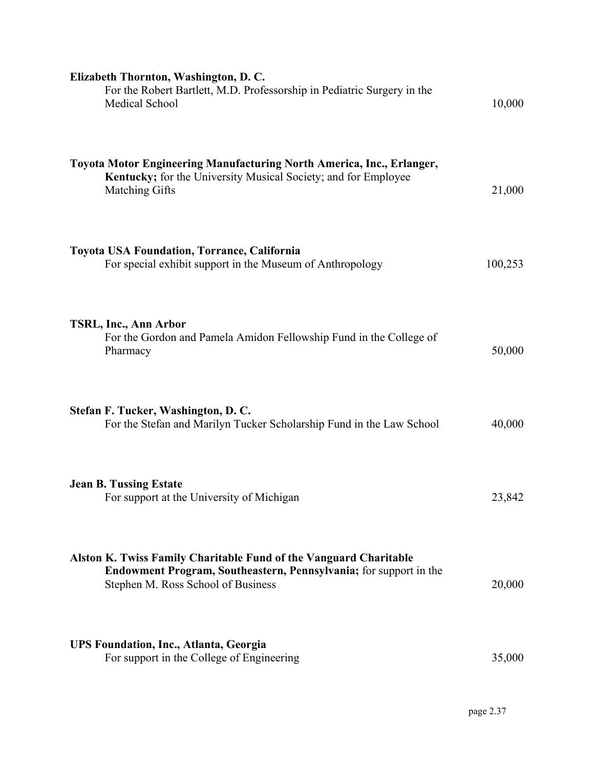| Elizabeth Thornton, Washington, D.C.<br>For the Robert Bartlett, M.D. Professorship in Pediatric Surgery in the<br>Medical School                                                          | 10,000  |
|--------------------------------------------------------------------------------------------------------------------------------------------------------------------------------------------|---------|
| Toyota Motor Engineering Manufacturing North America, Inc., Erlanger,<br>Kentucky; for the University Musical Society; and for Employee<br><b>Matching Gifts</b>                           | 21,000  |
| <b>Toyota USA Foundation, Torrance, California</b><br>For special exhibit support in the Museum of Anthropology                                                                            | 100,253 |
| TSRL, Inc., Ann Arbor<br>For the Gordon and Pamela Amidon Fellowship Fund in the College of<br>Pharmacy                                                                                    | 50,000  |
| Stefan F. Tucker, Washington, D. C.<br>For the Stefan and Marilyn Tucker Scholarship Fund in the Law School                                                                                | 40,000  |
| <b>Jean B. Tussing Estate</b><br>For support at the University of Michigan                                                                                                                 | 23,842  |
| <b>Alston K. Twiss Family Charitable Fund of the Vanguard Charitable</b><br><b>Endowment Program, Southeastern, Pennsylvania;</b> for support in the<br>Stephen M. Ross School of Business | 20,000  |
| <b>UPS Foundation, Inc., Atlanta, Georgia</b><br>For support in the College of Engineering                                                                                                 | 35,000  |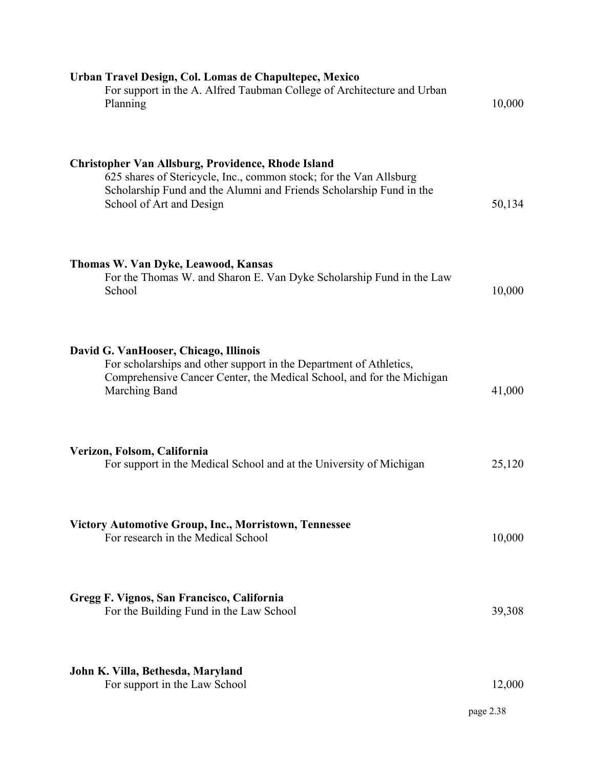| Urban Travel Design, Col. Lomas de Chapultepec, Mexico<br>For support in the A. Alfred Taubman College of Architecture and Urban<br>Planning                                                                                | 10,000    |
|-----------------------------------------------------------------------------------------------------------------------------------------------------------------------------------------------------------------------------|-----------|
| Christopher Van Allsburg, Providence, Rhode Island<br>625 shares of Stericycle, Inc., common stock; for the Van Allsburg<br>Scholarship Fund and the Alumni and Friends Scholarship Fund in the<br>School of Art and Design | 50,134    |
| Thomas W. Van Dyke, Leawood, Kansas<br>For the Thomas W. and Sharon E. Van Dyke Scholarship Fund in the Law<br>School                                                                                                       | 10,000    |
| David G. VanHooser, Chicago, Illinois<br>For scholarships and other support in the Department of Athletics,<br>Comprehensive Cancer Center, the Medical School, and for the Michigan<br>Marching Band                       | 41,000    |
| Verizon, Folsom, California<br>For support in the Medical School and at the University of Michigan                                                                                                                          | 25,120    |
| <b>Victory Automotive Group, Inc., Morristown, Tennessee</b><br>For research in the Medical School                                                                                                                          | 10,000    |
| Gregg F. Vignos, San Francisco, California<br>For the Building Fund in the Law School                                                                                                                                       | 39,308    |
| John K. Villa, Bethesda, Maryland<br>For support in the Law School                                                                                                                                                          | 12,000    |
|                                                                                                                                                                                                                             | page 2.38 |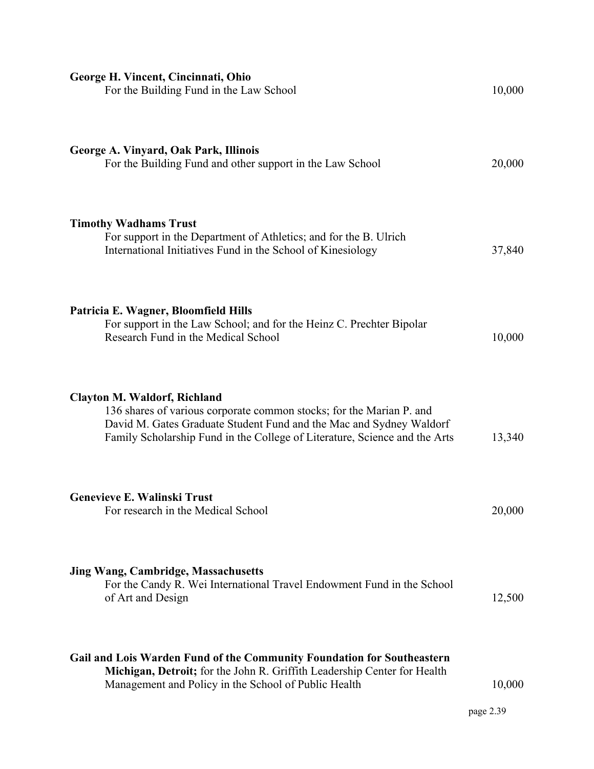| George H. Vincent, Cincinnati, Ohio<br>For the Building Fund in the Law School                                                                                                                                                                                   | 10,000              |
|------------------------------------------------------------------------------------------------------------------------------------------------------------------------------------------------------------------------------------------------------------------|---------------------|
| George A. Vinyard, Oak Park, Illinois<br>For the Building Fund and other support in the Law School                                                                                                                                                               | 20,000              |
| <b>Timothy Wadhams Trust</b><br>For support in the Department of Athletics; and for the B. Ulrich<br>International Initiatives Fund in the School of Kinesiology                                                                                                 | 37,840              |
| Patricia E. Wagner, Bloomfield Hills<br>For support in the Law School; and for the Heinz C. Prechter Bipolar<br>Research Fund in the Medical School                                                                                                              | 10,000              |
| <b>Clayton M. Waldorf, Richland</b><br>136 shares of various corporate common stocks; for the Marian P. and<br>David M. Gates Graduate Student Fund and the Mac and Sydney Waldorf<br>Family Scholarship Fund in the College of Literature, Science and the Arts | 13,340              |
| Genevieve E. Walinski Trust<br>For research in the Medical School                                                                                                                                                                                                | 20,000              |
| <b>Jing Wang, Cambridge, Massachusetts</b><br>For the Candy R. Wei International Travel Endowment Fund in the School<br>of Art and Design                                                                                                                        | 12,500              |
| Gail and Lois Warden Fund of the Community Foundation for Southeastern<br>Michigan, Detroit; for the John R. Griffith Leadership Center for Health<br>Management and Policy in the School of Public Health                                                       | 10,000<br>page 2.39 |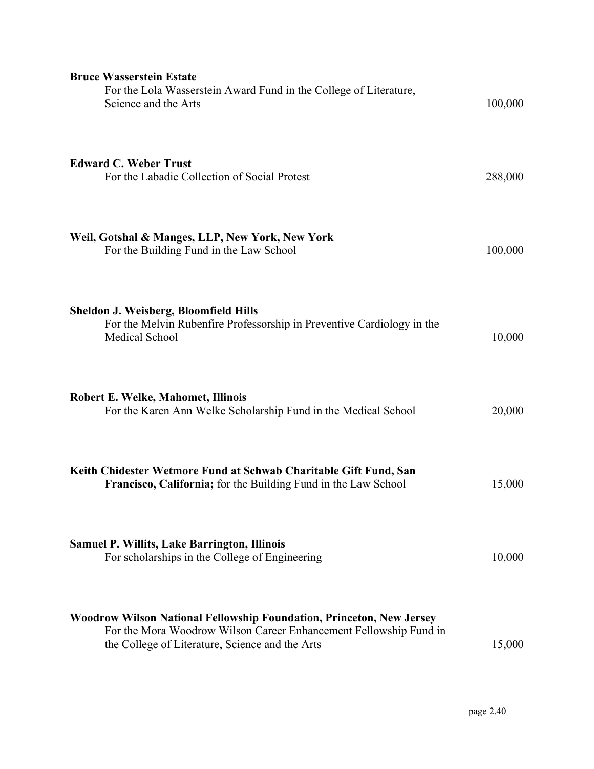| <b>Bruce Wasserstein Estate</b><br>For the Lola Wasserstein Award Fund in the College of Literature,<br>Science and the Arts                                                                 | 100,000 |
|----------------------------------------------------------------------------------------------------------------------------------------------------------------------------------------------|---------|
| <b>Edward C. Weber Trust</b><br>For the Labadie Collection of Social Protest                                                                                                                 | 288,000 |
| Weil, Gotshal & Manges, LLP, New York, New York<br>For the Building Fund in the Law School                                                                                                   | 100,000 |
| <b>Sheldon J. Weisberg, Bloomfield Hills</b><br>For the Melvin Rubenfire Professorship in Preventive Cardiology in the<br>Medical School                                                     | 10,000  |
| Robert E. Welke, Mahomet, Illinois<br>For the Karen Ann Welke Scholarship Fund in the Medical School                                                                                         | 20,000  |
| Keith Chidester Wetmore Fund at Schwab Charitable Gift Fund, San<br>Francisco, California; for the Building Fund in the Law School                                                           | 15,000  |
| <b>Samuel P. Willits, Lake Barrington, Illinois</b><br>For scholarships in the College of Engineering                                                                                        | 10,000  |
| Woodrow Wilson National Fellowship Foundation, Princeton, New Jersey<br>For the Mora Woodrow Wilson Career Enhancement Fellowship Fund in<br>the College of Literature, Science and the Arts | 15,000  |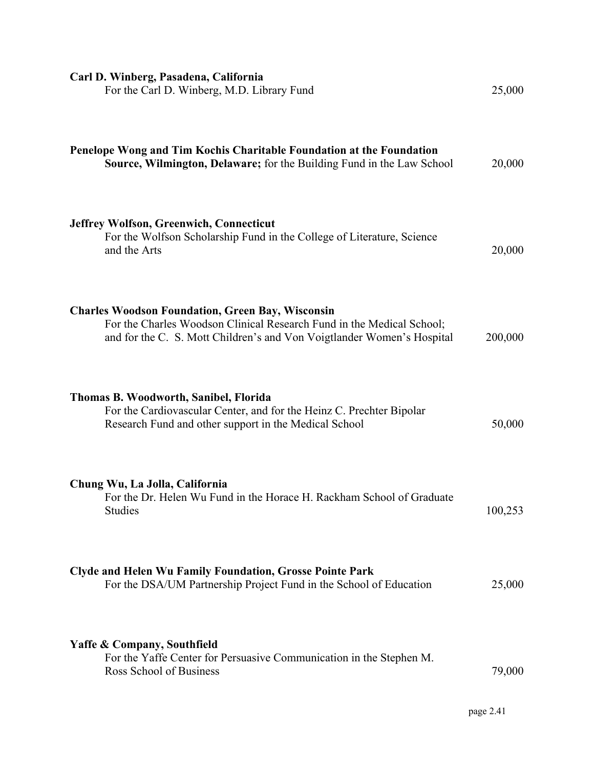| Carl D. Winberg, Pasadena, California<br>For the Carl D. Winberg, M.D. Library Fund                                                                                                                        | 25,000  |
|------------------------------------------------------------------------------------------------------------------------------------------------------------------------------------------------------------|---------|
| Penelope Wong and Tim Kochis Charitable Foundation at the Foundation<br>Source, Wilmington, Delaware; for the Building Fund in the Law School                                                              | 20,000  |
| <b>Jeffrey Wolfson, Greenwich, Connecticut</b><br>For the Wolfson Scholarship Fund in the College of Literature, Science<br>and the Arts                                                                   | 20,000  |
| <b>Charles Woodson Foundation, Green Bay, Wisconsin</b><br>For the Charles Woodson Clinical Research Fund in the Medical School;<br>and for the C. S. Mott Children's and Von Voigtlander Women's Hospital | 200,000 |
| Thomas B. Woodworth, Sanibel, Florida<br>For the Cardiovascular Center, and for the Heinz C. Prechter Bipolar<br>Research Fund and other support in the Medical School                                     | 50,000  |
| Chung Wu, La Jolla, California<br>For the Dr. Helen Wu Fund in the Horace H. Rackham School of Graduate<br><b>Studies</b>                                                                                  | 100,253 |
| <b>Clyde and Helen Wu Family Foundation, Grosse Pointe Park</b><br>For the DSA/UM Partnership Project Fund in the School of Education                                                                      | 25,000  |
| <b>Yaffe &amp; Company, Southfield</b><br>For the Yaffe Center for Persuasive Communication in the Stephen M.<br>Ross School of Business                                                                   | 79,000  |

page 2.41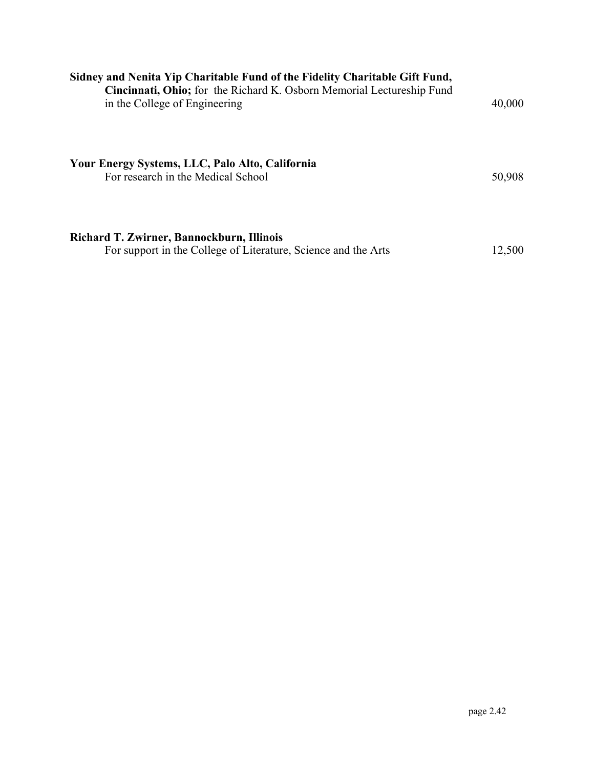| Sidney and Nenita Yip Charitable Fund of the Fidelity Charitable Gift Fund,<br>Cincinnati, Ohio; for the Richard K. Osborn Memorial Lectureship Fund<br>in the College of Engineering | 40,000 |
|---------------------------------------------------------------------------------------------------------------------------------------------------------------------------------------|--------|
| Your Energy Systems, LLC, Palo Alto, California<br>For research in the Medical School                                                                                                 | 50,908 |
| Richard T. Zwirner, Bannockburn, Illinois<br>For support in the College of Literature, Science and the Arts                                                                           | 12,500 |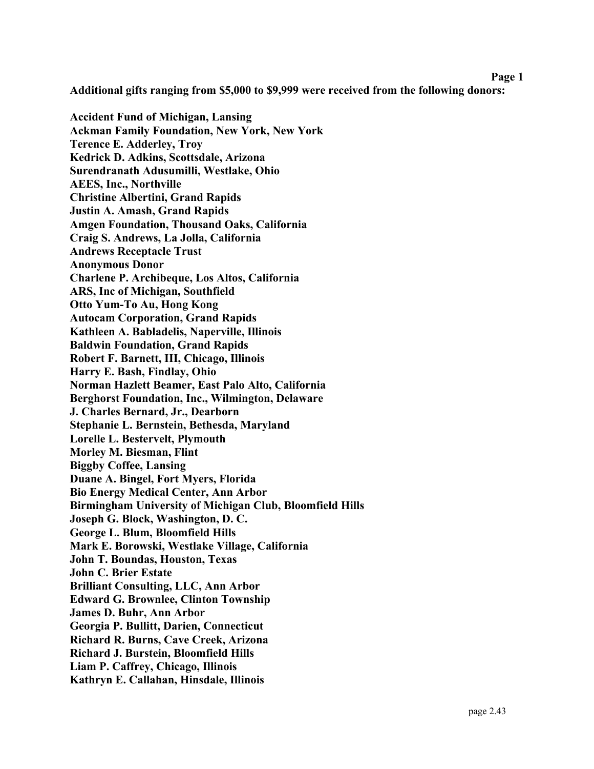### **Page 1**

**Additional gifts ranging from \$5,000 to \$9,999 were received from the following donors:** 

**Accident Fund of Michigan, Lansing Ackman Family Foundation, New York, New York Terence E. Adderley, Troy Kedrick D. Adkins, Scottsdale, Arizona Surendranath Adusumilli, Westlake, Ohio AEES, Inc., Northville Christine Albertini, Grand Rapids Justin A. Amash, Grand Rapids Amgen Foundation, Thousand Oaks, California Craig S. Andrews, La Jolla, California Andrews Receptacle Trust Anonymous Donor Charlene P. Archibeque, Los Altos, California ARS, Inc of Michigan, Southfield Otto Yum-To Au, Hong Kong Autocam Corporation, Grand Rapids Kathleen A. Babladelis, Naperville, Illinois Baldwin Foundation, Grand Rapids Robert F. Barnett, III, Chicago, Illinois Harry E. Bash, Findlay, Ohio Norman Hazlett Beamer, East Palo Alto, California Berghorst Foundation, Inc., Wilmington, Delaware J. Charles Bernard, Jr., Dearborn Stephanie L. Bernstein, Bethesda, Maryland Lorelle L. Bestervelt, Plymouth Morley M. Biesman, Flint Biggby Coffee, Lansing Duane A. Bingel, Fort Myers, Florida Bio Energy Medical Center, Ann Arbor Birmingham University of Michigan Club, Bloomfield Hills Joseph G. Block, Washington, D. C. George L. Blum, Bloomfield Hills Mark E. Borowski, Westlake Village, California John T. Boundas, Houston, Texas John C. Brier Estate Brilliant Consulting, LLC, Ann Arbor Edward G. Brownlee, Clinton Township James D. Buhr, Ann Arbor Georgia P. Bullitt, Darien, Connecticut Richard R. Burns, Cave Creek, Arizona Richard J. Burstein, Bloomfield Hills Liam P. Caffrey, Chicago, Illinois Kathryn E. Callahan, Hinsdale, Illinois**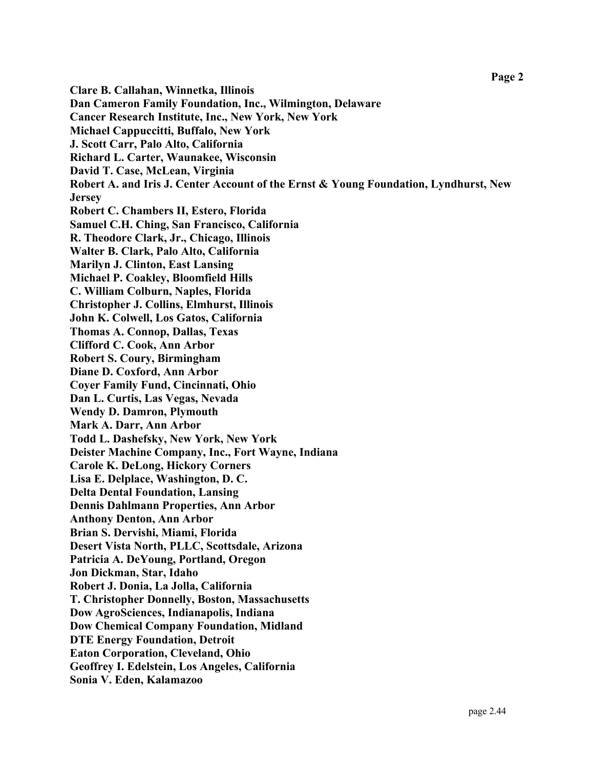**Clare B. Callahan, Winnetka, Illinois Dan Cameron Family Foundation, Inc., Wilmington, Delaware Cancer Research Institute, Inc., New York, New York Michael Cappuccitti, Buffalo, New York J. Scott Carr, Palo Alto, California Richard L. Carter, Waunakee, Wisconsin David T. Case, McLean, Virginia Robert A. and Iris J. Center Account of the Ernst & Young Foundation, Lyndhurst, New Jersey Robert C. Chambers II, Estero, Florida Samuel C.H. Ching, San Francisco, California R. Theodore Clark, Jr., Chicago, Illinois Walter B. Clark, Palo Alto, California Marilyn J. Clinton, East Lansing Michael P. Coakley, Bloomfield Hills C. William Colburn, Naples, Florida Christopher J. Collins, Elmhurst, Illinois John K. Colwell, Los Gatos, California Thomas A. Connop, Dallas, Texas Clifford C. Cook, Ann Arbor Robert S. Coury, Birmingham Diane D. Coxford, Ann Arbor Coyer Family Fund, Cincinnati, Ohio Dan L. Curtis, Las Vegas, Nevada Wendy D. Damron, Plymouth Mark A. Darr, Ann Arbor Todd L. Dashefsky, New York, New York Deister Machine Company, Inc., Fort Wayne, Indiana Carole K. DeLong, Hickory Corners Lisa E. Delplace, Washington, D. C. Delta Dental Foundation, Lansing Dennis Dahlmann Properties, Ann Arbor Anthony Denton, Ann Arbor Brian S. Dervishi, Miami, Florida Desert Vista North, PLLC, Scottsdale, Arizona Patricia A. DeYoung, Portland, Oregon Jon Dickman, Star, Idaho Robert J. Donia, La Jolla, California T. Christopher Donnelly, Boston, Massachusetts Dow AgroSciences, Indianapolis, Indiana Dow Chemical Company Foundation, Midland DTE Energy Foundation, Detroit Eaton Corporation, Cleveland, Ohio Geoffrey I. Edelstein, Los Angeles, California Sonia V. Eden, Kalamazoo**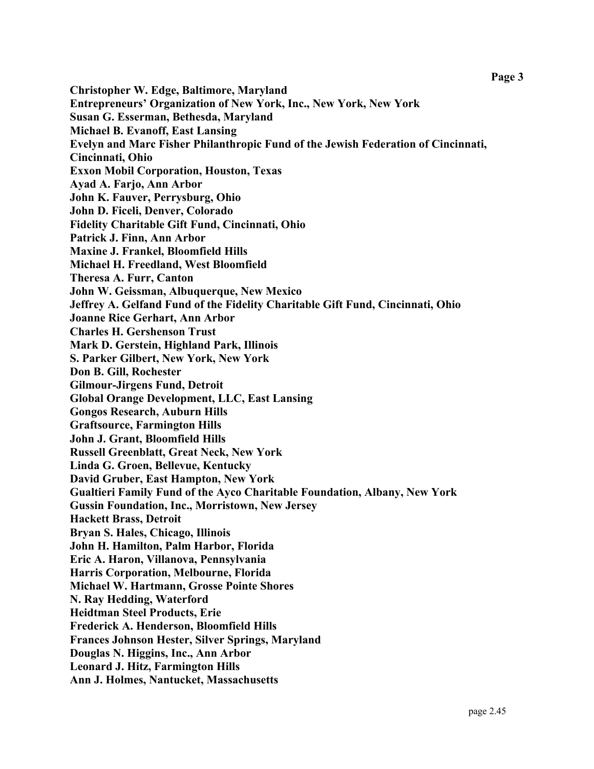**Christopher W. Edge, Baltimore, Maryland Entrepreneurs' Organization of New York, Inc., New York, New York Susan G. Esserman, Bethesda, Maryland Michael B. Evanoff, East Lansing Evelyn and Marc Fisher Philanthropic Fund of the Jewish Federation of Cincinnati, Cincinnati, Ohio Exxon Mobil Corporation, Houston, Texas Ayad A. Farjo, Ann Arbor John K. Fauver, Perrysburg, Ohio John D. Ficeli, Denver, Colorado Fidelity Charitable Gift Fund, Cincinnati, Ohio Patrick J. Finn, Ann Arbor Maxine J. Frankel, Bloomfield Hills Michael H. Freedland, West Bloomfield Theresa A. Furr, Canton John W. Geissman, Albuquerque, New Mexico Jeffrey A. Gelfand Fund of the Fidelity Charitable Gift Fund, Cincinnati, Ohio Joanne Rice Gerhart, Ann Arbor Charles H. Gershenson Trust Mark D. Gerstein, Highland Park, Illinois S. Parker Gilbert, New York, New York Don B. Gill, Rochester Gilmour-Jirgens Fund, Detroit Global Orange Development, LLC, East Lansing Gongos Research, Auburn Hills Graftsource, Farmington Hills John J. Grant, Bloomfield Hills Russell Greenblatt, Great Neck, New York Linda G. Groen, Bellevue, Kentucky David Gruber, East Hampton, New York Gualtieri Family Fund of the Ayco Charitable Foundation, Albany, New York Gussin Foundation, Inc., Morristown, New Jersey Hackett Brass, Detroit Bryan S. Hales, Chicago, Illinois John H. Hamilton, Palm Harbor, Florida Eric A. Haron, Villanova, Pennsylvania Harris Corporation, Melbourne, Florida Michael W. Hartmann, Grosse Pointe Shores N. Ray Hedding, Waterford Heidtman Steel Products, Erie Frederick A. Henderson, Bloomfield Hills Frances Johnson Hester, Silver Springs, Maryland Douglas N. Higgins, Inc., Ann Arbor Leonard J. Hitz, Farmington Hills Ann J. Holmes, Nantucket, Massachusetts**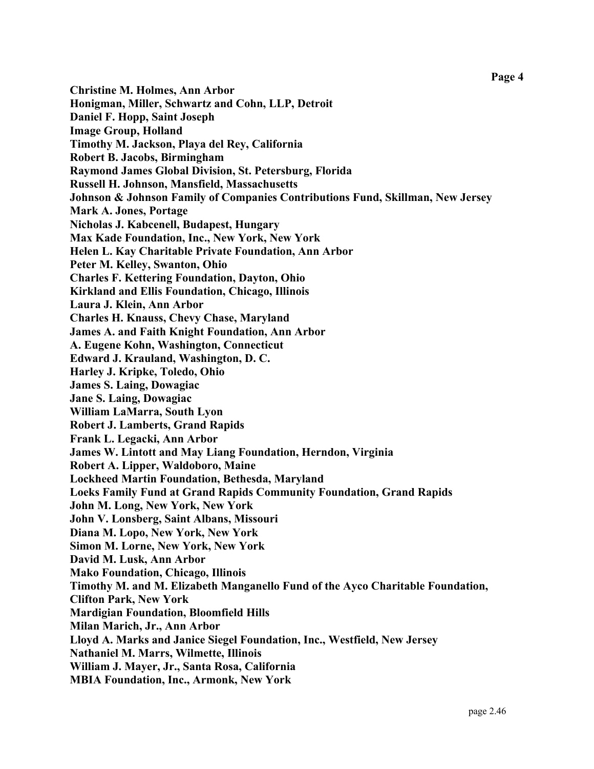**Christine M. Holmes, Ann Arbor Honigman, Miller, Schwartz and Cohn, LLP, Detroit Daniel F. Hopp, Saint Joseph Image Group, Holland Timothy M. Jackson, Playa del Rey, California Robert B. Jacobs, Birmingham Raymond James Global Division, St. Petersburg, Florida Russell H. Johnson, Mansfield, Massachusetts Johnson & Johnson Family of Companies Contributions Fund, Skillman, New Jersey Mark A. Jones, Portage Nicholas J. Kabcenell, Budapest, Hungary Max Kade Foundation, Inc., New York, New York Helen L. Kay Charitable Private Foundation, Ann Arbor Peter M. Kelley, Swanton, Ohio Charles F. Kettering Foundation, Dayton, Ohio Kirkland and Ellis Foundation, Chicago, Illinois Laura J. Klein, Ann Arbor Charles H. Knauss, Chevy Chase, Maryland James A. and Faith Knight Foundation, Ann Arbor A. Eugene Kohn, Washington, Connecticut Edward J. Krauland, Washington, D. C. Harley J. Kripke, Toledo, Ohio James S. Laing, Dowagiac Jane S. Laing, Dowagiac William LaMarra, South Lyon Robert J. Lamberts, Grand Rapids Frank L. Legacki, Ann Arbor James W. Lintott and May Liang Foundation, Herndon, Virginia Robert A. Lipper, Waldoboro, Maine Lockheed Martin Foundation, Bethesda, Maryland Loeks Family Fund at Grand Rapids Community Foundation, Grand Rapids John M. Long, New York, New York John V. Lonsberg, Saint Albans, Missouri Diana M. Lopo, New York, New York Simon M. Lorne, New York, New York David M. Lusk, Ann Arbor Mako Foundation, Chicago, Illinois Timothy M. and M. Elizabeth Manganello Fund of the Ayco Charitable Foundation, Clifton Park, New York Mardigian Foundation, Bloomfield Hills Milan Marich, Jr., Ann Arbor Lloyd A. Marks and Janice Siegel Foundation, Inc., Westfield, New Jersey Nathaniel M. Marrs, Wilmette, Illinois William J. Mayer, Jr., Santa Rosa, California MBIA Foundation, Inc., Armonk, New York**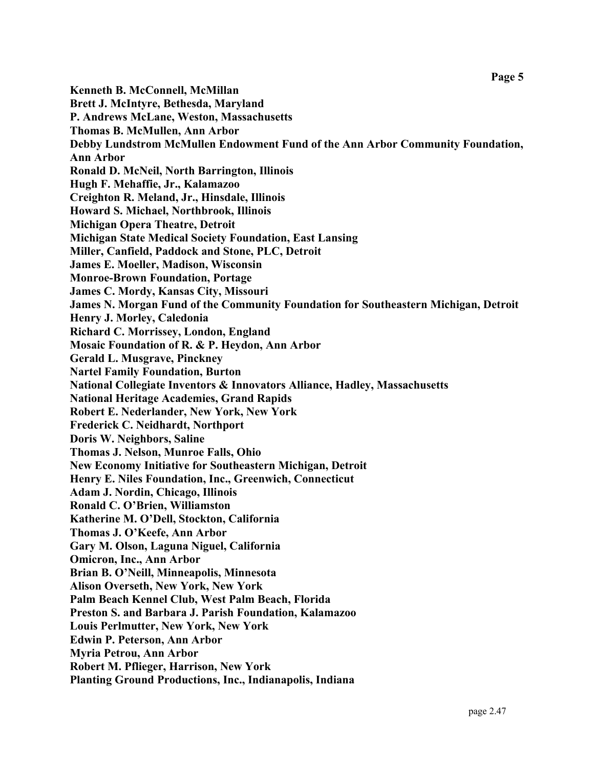**Kenneth B. McConnell, McMillan Brett J. McIntyre, Bethesda, Maryland P. Andrews McLane, Weston, Massachusetts Thomas B. McMullen, Ann Arbor Debby Lundstrom McMullen Endowment Fund of the Ann Arbor Community Foundation, Ann Arbor Ronald D. McNeil, North Barrington, Illinois Hugh F. Mehaffie, Jr., Kalamazoo Creighton R. Meland, Jr., Hinsdale, Illinois Howard S. Michael, Northbrook, Illinois Michigan Opera Theatre, Detroit Michigan State Medical Society Foundation, East Lansing Miller, Canfield, Paddock and Stone, PLC, Detroit James E. Moeller, Madison, Wisconsin Monroe-Brown Foundation, Portage James C. Mordy, Kansas City, Missouri James N. Morgan Fund of the Community Foundation for Southeastern Michigan, Detroit Henry J. Morley, Caledonia Richard C. Morrissey, London, England Mosaic Foundation of R. & P. Heydon, Ann Arbor Gerald L. Musgrave, Pinckney Nartel Family Foundation, Burton National Collegiate Inventors & Innovators Alliance, Hadley, Massachusetts National Heritage Academies, Grand Rapids Robert E. Nederlander, New York, New York Frederick C. Neidhardt, Northport Doris W. Neighbors, Saline Thomas J. Nelson, Munroe Falls, Ohio New Economy Initiative for Southeastern Michigan, Detroit Henry E. Niles Foundation, Inc., Greenwich, Connecticut Adam J. Nordin, Chicago, Illinois Ronald C. O'Brien, Williamston Katherine M. O'Dell, Stockton, California Thomas J. O'Keefe, Ann Arbor Gary M. Olson, Laguna Niguel, California Omicron, Inc., Ann Arbor Brian B. O'Neill, Minneapolis, Minnesota Alison Overseth, New York, New York Palm Beach Kennel Club, West Palm Beach, Florida Preston S. and Barbara J. Parish Foundation, Kalamazoo Louis Perlmutter, New York, New York Edwin P. Peterson, Ann Arbor Myria Petrou, Ann Arbor Robert M. Pflieger, Harrison, New York Planting Ground Productions, Inc., Indianapolis, Indiana**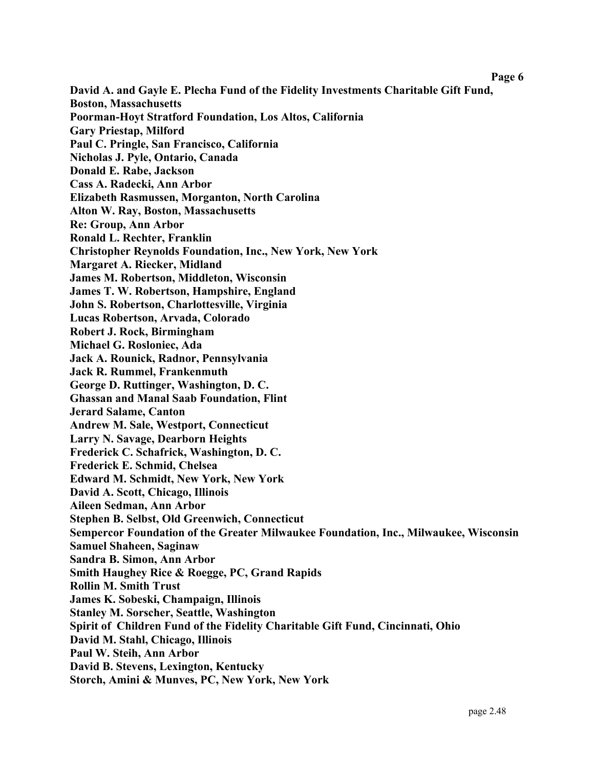**Page 6** 

**David A. and Gayle E. Plecha Fund of the Fidelity Investments Charitable Gift Fund, Boston, Massachusetts Poorman-Hoyt Stratford Foundation, Los Altos, California Gary Priestap, Milford Paul C. Pringle, San Francisco, California Nicholas J. Pyle, Ontario, Canada Donald E. Rabe, Jackson Cass A. Radecki, Ann Arbor Elizabeth Rasmussen, Morganton, North Carolina Alton W. Ray, Boston, Massachusetts Re: Group, Ann Arbor Ronald L. Rechter, Franklin Christopher Reynolds Foundation, Inc., New York, New York Margaret A. Riecker, Midland James M. Robertson, Middleton, Wisconsin James T. W. Robertson, Hampshire, England John S. Robertson, Charlottesville, Virginia Lucas Robertson, Arvada, Colorado Robert J. Rock, Birmingham Michael G. Rosloniec, Ada Jack A. Rounick, Radnor, Pennsylvania Jack R. Rummel, Frankenmuth George D. Ruttinger, Washington, D. C. Ghassan and Manal Saab Foundation, Flint Jerard Salame, Canton Andrew M. Sale, Westport, Connecticut Larry N. Savage, Dearborn Heights Frederick C. Schafrick, Washington, D. C. Frederick E. Schmid, Chelsea Edward M. Schmidt, New York, New York David A. Scott, Chicago, Illinois Aileen Sedman, Ann Arbor Stephen B. Selbst, Old Greenwich, Connecticut Sempercor Foundation of the Greater Milwaukee Foundation, Inc., Milwaukee, Wisconsin Samuel Shaheen, Saginaw Sandra B. Simon, Ann Arbor Smith Haughey Rice & Roegge, PC, Grand Rapids Rollin M. Smith Trust James K. Sobeski, Champaign, Illinois Stanley M. Sorscher, Seattle, Washington Spirit of Children Fund of the Fidelity Charitable Gift Fund, Cincinnati, Ohio David M. Stahl, Chicago, Illinois Paul W. Steih, Ann Arbor David B. Stevens, Lexington, Kentucky Storch, Amini & Munves, PC, New York, New York**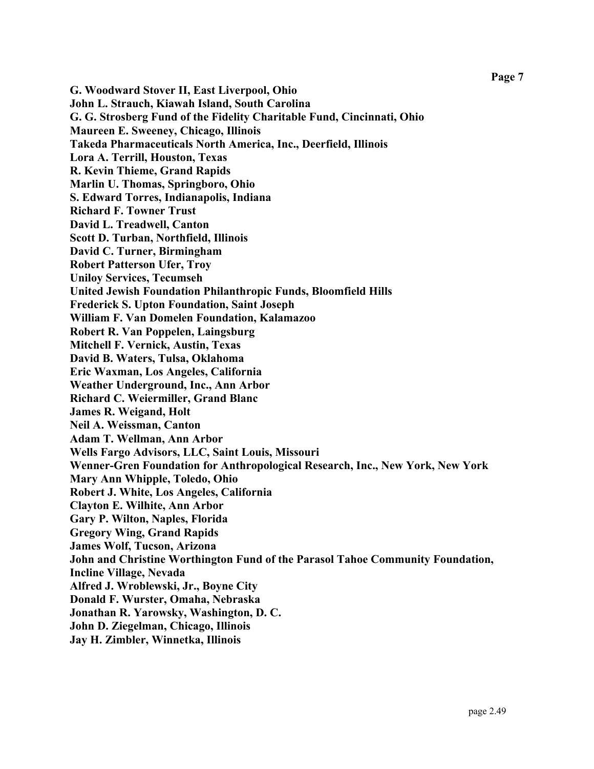**G. Woodward Stover II, East Liverpool, Ohio John L. Strauch, Kiawah Island, South Carolina G. G. Strosberg Fund of the Fidelity Charitable Fund, Cincinnati, Ohio Maureen E. Sweeney, Chicago, Illinois Takeda Pharmaceuticals North America, Inc., Deerfield, Illinois Lora A. Terrill, Houston, Texas R. Kevin Thieme, Grand Rapids Marlin U. Thomas, Springboro, Ohio S. Edward Torres, Indianapolis, Indiana Richard F. Towner Trust David L. Treadwell, Canton Scott D. Turban, Northfield, Illinois David C. Turner, Birmingham Robert Patterson Ufer, Troy Uniloy Services, Tecumseh United Jewish Foundation Philanthropic Funds, Bloomfield Hills Frederick S. Upton Foundation, Saint Joseph William F. Van Domelen Foundation, Kalamazoo Robert R. Van Poppelen, Laingsburg Mitchell F. Vernick, Austin, Texas David B. Waters, Tulsa, Oklahoma Eric Waxman, Los Angeles, California Weather Underground, Inc., Ann Arbor Richard C. Weiermiller, Grand Blanc James R. Weigand, Holt Neil A. Weissman, Canton Adam T. Wellman, Ann Arbor Wells Fargo Advisors, LLC, Saint Louis, Missouri Wenner-Gren Foundation for Anthropological Research, Inc., New York, New York Mary Ann Whipple, Toledo, Ohio Robert J. White, Los Angeles, California Clayton E. Wilhite, Ann Arbor Gary P. Wilton, Naples, Florida Gregory Wing, Grand Rapids James Wolf, Tucson, Arizona John and Christine Worthington Fund of the Parasol Tahoe Community Foundation, Incline Village, Nevada Alfred J. Wroblewski, Jr., Boyne City Donald F. Wurster, Omaha, Nebraska Jonathan R. Yarowsky, Washington, D. C. John D. Ziegelman, Chicago, Illinois Jay H. Zimbler, Winnetka, Illinois**